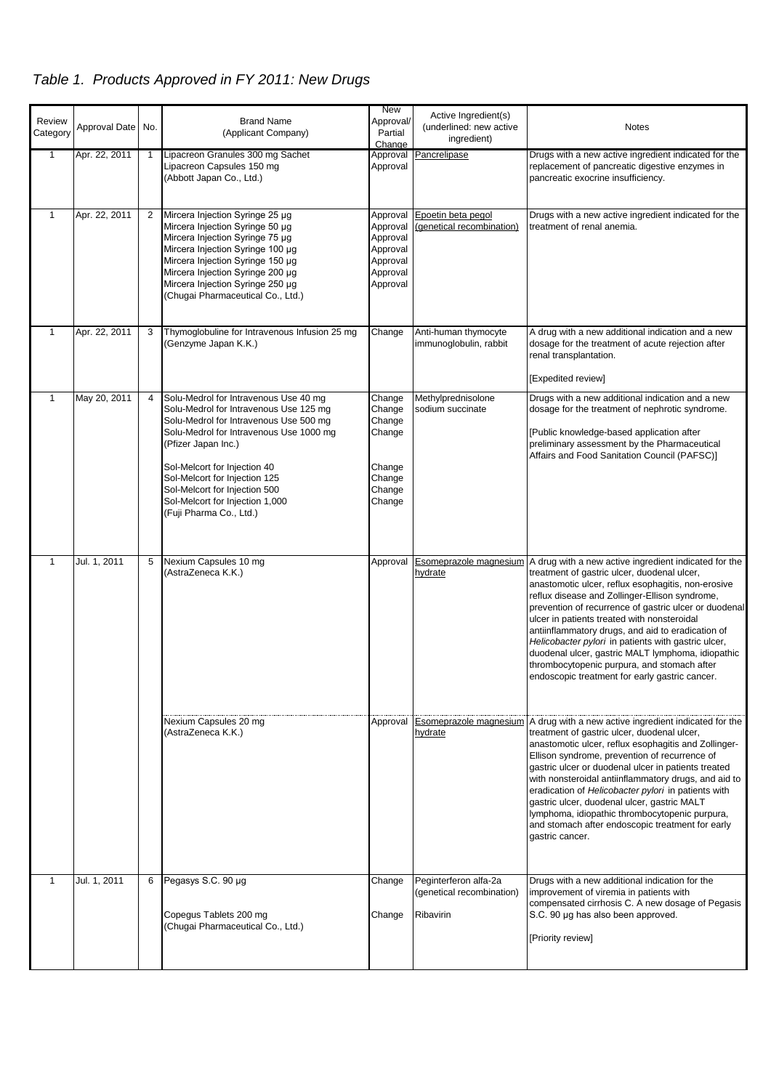## *Table 1. Products Approved in FY 2011: New Drugs*

| Review<br>Category | Approval Date No. |    | <b>Brand Name</b><br>(Applicant Company)                                                                                                                                                                                                                                                                                                                    | <b>New</b><br>Approval/<br>Partial<br>Change                                     | Active Ingredient(s)<br>(underlined: new active<br>ingredient)  | <b>Notes</b>                                                                                                                                                                                                                                                                                                                                                                                                                                                                                                                                                                                                  |
|--------------------|-------------------|----|-------------------------------------------------------------------------------------------------------------------------------------------------------------------------------------------------------------------------------------------------------------------------------------------------------------------------------------------------------------|----------------------------------------------------------------------------------|-----------------------------------------------------------------|---------------------------------------------------------------------------------------------------------------------------------------------------------------------------------------------------------------------------------------------------------------------------------------------------------------------------------------------------------------------------------------------------------------------------------------------------------------------------------------------------------------------------------------------------------------------------------------------------------------|
| $\mathbf{1}$       | Apr. 22, 2011     | -1 | Lipacreon Granules 300 mg Sachet<br>Lipacreon Capsules 150 mg<br>(Abbott Japan Co., Ltd.)                                                                                                                                                                                                                                                                   | Approval<br>Approval                                                             | Pancrelipase                                                    | Drugs with a new active ingredient indicated for the<br>replacement of pancreatic digestive enzymes in<br>pancreatic exocrine insufficiency.                                                                                                                                                                                                                                                                                                                                                                                                                                                                  |
| $\mathbf{1}$       | Apr. 22, 2011     | 2  | Mircera Injection Syringe 25 µg<br>Mircera Injection Syringe 50 µg<br>Mircera Injection Syringe 75 µg<br>Mircera Injection Syringe 100 µg<br>Mircera Injection Syringe 150 µg<br>Mircera Injection Syringe 200 µg<br>Mircera Injection Syringe 250 µg<br>(Chugai Pharmaceutical Co., Ltd.)                                                                  | Approval<br>Approval<br>Approval<br>Approval<br>Approval<br>Approval<br>Approval | Epoetin beta pegol<br>(genetical recombination)                 | Drugs with a new active ingredient indicated for the<br>treatment of renal anemia.                                                                                                                                                                                                                                                                                                                                                                                                                                                                                                                            |
| $\mathbf{1}$       | Apr. 22, 2011     | 3  | Thymoglobuline for Intravenous Infusion 25 mg<br>(Genzyme Japan K.K.)                                                                                                                                                                                                                                                                                       | Change                                                                           | Anti-human thymocyte<br>immunoglobulin, rabbit                  | A drug with a new additional indication and a new<br>dosage for the treatment of acute rejection after<br>renal transplantation.<br>[Expedited review]                                                                                                                                                                                                                                                                                                                                                                                                                                                        |
| 1                  | May 20, 2011      | 4  | Solu-Medrol for Intravenous Use 40 mg<br>Solu-Medrol for Intravenous Use 125 mg<br>Solu-Medrol for Intravenous Use 500 mg<br>Solu-Medrol for Intravenous Use 1000 mg<br>(Pfizer Japan Inc.)<br>Sol-Melcort for Injection 40<br>Sol-Melcort for Injection 125<br>Sol-Melcort for Injection 500<br>Sol-Melcort for Injection 1,000<br>(Fuji Pharma Co., Ltd.) | Change<br>Change<br>Change<br>Change<br>Change<br>Change<br>Change<br>Change     | Methylprednisolone<br>sodium succinate                          | Drugs with a new additional indication and a new<br>dosage for the treatment of nephrotic syndrome.<br>[Public knowledge-based application after<br>preliminary assessment by the Pharmaceutical<br>Affairs and Food Sanitation Council (PAFSC)]                                                                                                                                                                                                                                                                                                                                                              |
| $\mathbf{1}$       | Jul. 1, 2011      | 5  | Nexium Capsules 10 mg<br>(AstraZeneca K.K.)                                                                                                                                                                                                                                                                                                                 | Approval                                                                         | hydrate                                                         | Esomeprazole magnesium A drug with a new active ingredient indicated for the<br>treatment of gastric ulcer, duodenal ulcer,<br>anastomotic ulcer, reflux esophagitis, non-erosive<br>reflux disease and Zollinger-Ellison syndrome,<br>prevention of recurrence of gastric ulcer or duodenal<br>ulcer in patients treated with nonsteroidal<br>antiinflammatory drugs, and aid to eradication of<br>Helicobacter pylori in patients with gastric ulcer,<br>duodenal ulcer, gastric MALT lymphoma, idiopathic<br>thrombocytopenic purpura, and stomach after<br>endoscopic treatment for early gastric cancer. |
|                    |                   |    | Nexium Capsules 20 mg<br>(AstraZeneca K.K.)                                                                                                                                                                                                                                                                                                                 | Approval                                                                         | hydrate                                                         | Esomeprazole magnesium A drug with a new active ingredient indicated for the<br>treatment of gastric ulcer, duodenal ulcer,<br>anastomotic ulcer, reflux esophagitis and Zollinger-<br>Ellison syndrome, prevention of recurrence of<br>gastric ulcer or duodenal ulcer in patients treated<br>with nonsteroidal antiinflammatory drugs, and aid to<br>eradication of Helicobacter pylori in patients with<br>gastric ulcer, duodenal ulcer, gastric MALT<br>lymphoma, idiopathic thrombocytopenic purpura,<br>and stomach after endoscopic treatment for early<br>gastric cancer.                            |
| 1                  | Jul. 1, 2011      | 6  | Pegasys S.C. 90 µg<br>Copegus Tablets 200 mg<br>(Chugai Pharmaceutical Co., Ltd.)                                                                                                                                                                                                                                                                           | Change<br>Change                                                                 | Peginterferon alfa-2a<br>(genetical recombination)<br>Ribavirin | Drugs with a new additional indication for the<br>improvement of viremia in patients with<br>compensated cirrhosis C. A new dosage of Pegasis<br>S.C. 90 µg has also been approved.<br>[Priority review]                                                                                                                                                                                                                                                                                                                                                                                                      |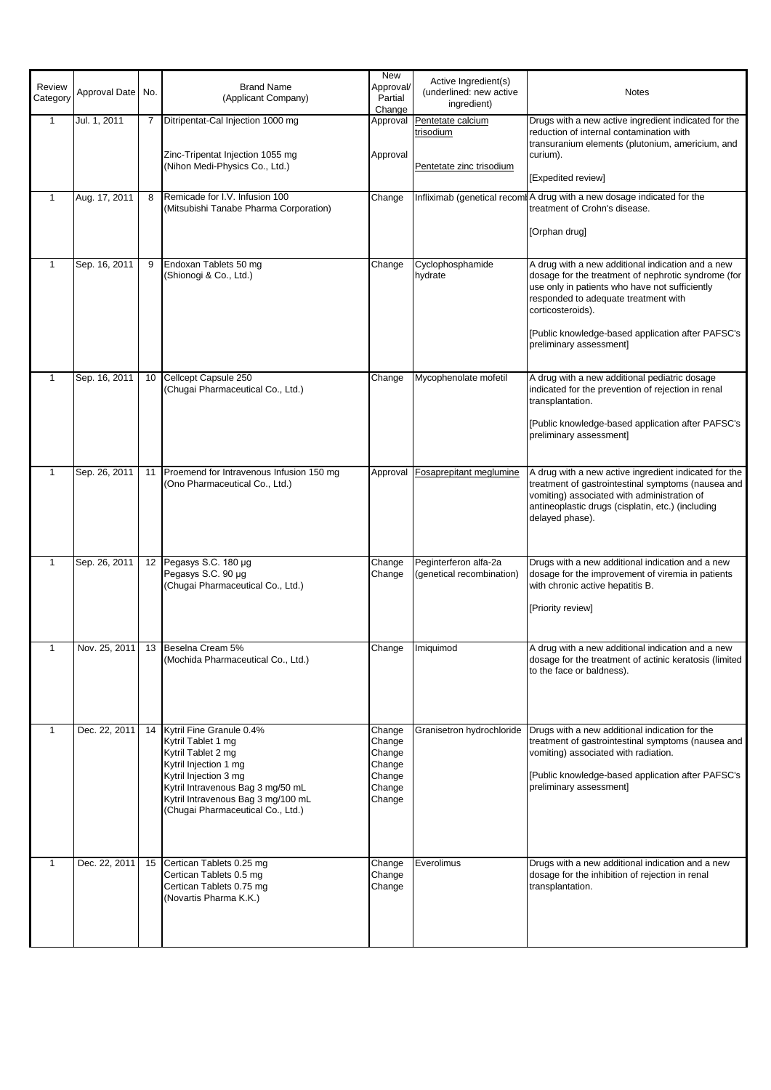| Review<br>Category | Approval Date No. |    | <b>Brand Name</b><br>(Applicant Company)                                                                                                                                                                                               | <b>New</b><br>Approval/<br>Partial<br>Change                       | Active Ingredient(s)<br>(underlined: new active<br>ingredient) | <b>Notes</b>                                                                                                                                                                                                                                                                                            |
|--------------------|-------------------|----|----------------------------------------------------------------------------------------------------------------------------------------------------------------------------------------------------------------------------------------|--------------------------------------------------------------------|----------------------------------------------------------------|---------------------------------------------------------------------------------------------------------------------------------------------------------------------------------------------------------------------------------------------------------------------------------------------------------|
| 1                  | Jul. 1, 2011      | 7  | Ditripentat-Cal Injection 1000 mg<br>Zinc-Tripentat Injection 1055 mg<br>(Nihon Medi-Physics Co., Ltd.)                                                                                                                                | Approval<br>Approval                                               | Pentetate calcium<br>trisodium<br>Pentetate zinc trisodium     | Drugs with a new active ingredient indicated for the<br>reduction of internal contamination with<br>transuranium elements (plutonium, americium, and<br>curium).<br>[Expedited review]                                                                                                                  |
| $\mathbf{1}$       | Aug. 17, 2011     | 8  | Remicade for I.V. Infusion 100<br>(Mitsubishi Tanabe Pharma Corporation)                                                                                                                                                               | Change                                                             | Infliximab (genetical recom                                    | A drug with a new dosage indicated for the<br>treatment of Crohn's disease.<br>[Orphan drug]                                                                                                                                                                                                            |
| $\mathbf{1}$       | Sep. 16, 2011     | 9  | Endoxan Tablets 50 mg<br>(Shionogi & Co., Ltd.)                                                                                                                                                                                        | Change                                                             | Cyclophosphamide<br>hydrate                                    | A drug with a new additional indication and a new<br>dosage for the treatment of nephrotic syndrome (for<br>use only in patients who have not sufficiently<br>responded to adequate treatment with<br>corticosteroids).<br>[Public knowledge-based application after PAFSC's<br>preliminary assessment] |
| $\mathbf{1}$       | Sep. 16, 2011     | 10 | Cellcept Capsule 250<br>(Chugai Pharmaceutical Co., Ltd.)                                                                                                                                                                              | Change                                                             | Mycophenolate mofetil                                          | A drug with a new additional pediatric dosage<br>indicated for the prevention of rejection in renal<br>transplantation.<br>[Public knowledge-based application after PAFSC's<br>preliminary assessment]                                                                                                 |
| $\mathbf{1}$       | Sep. 26, 2011     | 11 | Proemend for Intravenous Infusion 150 mg<br>(Ono Pharmaceutical Co., Ltd.)                                                                                                                                                             | Approval                                                           | <b>Fosaprepitant meglumine</b>                                 | A drug with a new active ingredient indicated for the<br>treatment of gastrointestinal symptoms (nausea and<br>vomiting) associated with administration of<br>antineoplastic drugs (cisplatin, etc.) (including<br>delayed phase).                                                                      |
| $\mathbf{1}$       | Sep. 26, 2011     |    | 12 Pegasys S.C. 180 µg<br>Pegasys S.C. 90 µg<br>(Chugai Pharmaceutical Co., Ltd.)                                                                                                                                                      | Change<br>Change                                                   | Peginterferon alfa-2a<br>(genetical recombination)             | Drugs with a new additional indication and a new<br>dosage for the improvement of viremia in patients<br>with chronic active hepatitis B.<br>[Priority review]                                                                                                                                          |
|                    |                   |    | Nov. 25, 2011 13 Beselna Cream 5%<br>(Mochida Pharmaceutical Co., Ltd.)                                                                                                                                                                |                                                                    | Change   Imiquimod                                             | A drug with a new additional indication and a new<br>dosage for the treatment of actinic keratosis (limited<br>to the face or baldness).                                                                                                                                                                |
| 1                  | Dec. 22, 2011     | 14 | Kytril Fine Granule 0.4%<br>Kytril Tablet 1 mg<br>Kytril Tablet 2 mg<br>Kytril Injection 1 mg<br>Kytril Injection 3 mg<br>Kytril Intravenous Bag 3 mg/50 mL<br>Kytril Intravenous Bag 3 mg/100 mL<br>(Chugai Pharmaceutical Co., Ltd.) | Change<br>Change<br>Change<br>Change<br>Change<br>Change<br>Change | Granisetron hydrochloride                                      | Drugs with a new additional indication for the<br>treatment of gastrointestinal symptoms (nausea and<br>vomiting) associated with radiation.<br>[Public knowledge-based application after PAFSC's<br>preliminary assessment]                                                                            |
| $\mathbf{1}$       | Dec. 22, 2011     | 15 | Certican Tablets 0.25 mg<br>Certican Tablets 0.5 mg<br>Certican Tablets 0.75 mg<br>(Novartis Pharma K.K.)                                                                                                                              | Change<br>Change<br>Change                                         | Everolimus                                                     | Drugs with a new additional indication and a new<br>dosage for the inhibition of rejection in renal<br>transplantation.                                                                                                                                                                                 |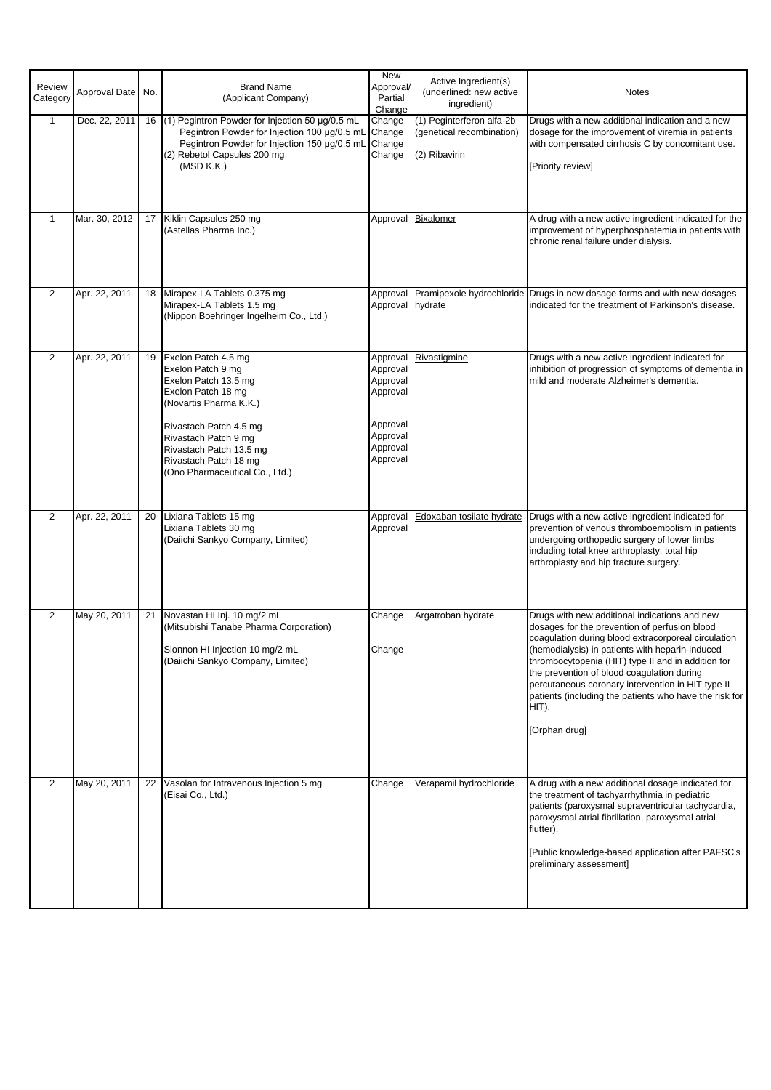|                    |                   |    |                                                                                                                                                                                                                                                          | <b>New</b>                                                                                   |                                                                         |                                                                                                                                                                                                                                                                                                                                                                                                                                                       |
|--------------------|-------------------|----|----------------------------------------------------------------------------------------------------------------------------------------------------------------------------------------------------------------------------------------------------------|----------------------------------------------------------------------------------------------|-------------------------------------------------------------------------|-------------------------------------------------------------------------------------------------------------------------------------------------------------------------------------------------------------------------------------------------------------------------------------------------------------------------------------------------------------------------------------------------------------------------------------------------------|
| Review<br>Category | Approval Date No. |    | <b>Brand Name</b><br>(Applicant Company)                                                                                                                                                                                                                 | Approval/<br>Partial<br>Change                                                               | Active Ingredient(s)<br>(underlined: new active<br>ingredient)          | <b>Notes</b>                                                                                                                                                                                                                                                                                                                                                                                                                                          |
| $\overline{1}$     | Dec. 22, 2011     |    | 16 (1) Pegintron Powder for Injection 50 µg/0.5 mL<br>Pegintron Powder for Injection 100 µg/0.5 mL<br>Pegintron Powder for Injection 150 µg/0.5 mL<br>(2) Rebetol Capsules 200 mg<br>(MSD K.K.)                                                          | Change<br>Change<br>Change<br>Change                                                         | (1) Peginterferon alfa-2b<br>(genetical recombination)<br>(2) Ribavirin | Drugs with a new additional indication and a new<br>dosage for the improvement of viremia in patients<br>with compensated cirrhosis C by concomitant use.<br>[Priority review]                                                                                                                                                                                                                                                                        |
| $\mathbf{1}$       | Mar. 30, 2012     | 17 | Kiklin Capsules 250 mg<br>(Astellas Pharma Inc.)                                                                                                                                                                                                         |                                                                                              | Approval Bixalomer                                                      | A drug with a new active ingredient indicated for the<br>improvement of hyperphosphatemia in patients with<br>chronic renal failure under dialysis.                                                                                                                                                                                                                                                                                                   |
| $\mathbf{2}$       | Apr. 22, 2011     | 18 | Mirapex-LA Tablets 0.375 mg<br>Mirapex-LA Tablets 1.5 mg<br>(Nippon Boehringer Ingelheim Co., Ltd.)                                                                                                                                                      | Approval<br>Approval hydrate                                                                 |                                                                         | Pramipexole hydrochloride Drugs in new dosage forms and with new dosages<br>indicated for the treatment of Parkinson's disease.                                                                                                                                                                                                                                                                                                                       |
| $\overline{2}$     | Apr. 22, 2011     | 19 | Exelon Patch 4.5 mg<br>Exelon Patch 9 mg<br>Exelon Patch 13.5 mg<br>Exelon Patch 18 mg<br>(Novartis Pharma K.K.)<br>Rivastach Patch 4.5 mg<br>Rivastach Patch 9 mg<br>Rivastach Patch 13.5 mg<br>Rivastach Patch 18 mg<br>(Ono Pharmaceutical Co., Ltd.) | Approval<br>Approval<br>Approval<br>Approval<br>Approval<br>Approval<br>Approval<br>Approval | Rivastigmine                                                            | Drugs with a new active ingredient indicated for<br>inhibition of progression of symptoms of dementia in<br>mild and moderate Alzheimer's dementia.                                                                                                                                                                                                                                                                                                   |
| $\mathbf{2}$       | Apr. 22, 2011     | 20 | Lixiana Tablets 15 mg<br>Lixiana Tablets 30 mg<br>(Daiichi Sankyo Company, Limited)                                                                                                                                                                      | Approval<br>Approval                                                                         | Edoxaban tosilate hydrate                                               | Drugs with a new active ingredient indicated for<br>prevention of venous thromboembolism in patients<br>undergoing orthopedic surgery of lower limbs<br>including total knee arthroplasty, total hip<br>arthroplasty and hip fracture surgery.                                                                                                                                                                                                        |
| 2                  | May 20, 2011      |    | 21 Novastan HI Inj. 10 mg/2 mL<br>(Mitsubishi Tanabe Pharma Corporation)<br>Slonnon HI Injection 10 mg/2 mL<br>(Daiichi Sankyo Company, Limited)                                                                                                         | Change<br>Change                                                                             | Argatroban hydrate                                                      | Drugs with new additional indications and new<br>dosages for the prevention of perfusion blood<br>coagulation during blood extracorporeal circulation<br>(hemodialysis) in patients with heparin-induced<br>thrombocytopenia (HIT) type II and in addition for<br>the prevention of blood coagulation during<br>percutaneous coronary intervention in HIT type II<br>patients (including the patients who have the risk for<br>HIT).<br>[Orphan drug] |
| 2                  | May 20, 2011      | 22 | Vasolan for Intravenous Injection 5 mg<br>(Eisai Co., Ltd.)                                                                                                                                                                                              | Change                                                                                       | Verapamil hydrochloride                                                 | A drug with a new additional dosage indicated for<br>the treatment of tachyarrhythmia in pediatric<br>patients (paroxysmal supraventricular tachycardia,<br>paroxysmal atrial fibrillation, paroxysmal atrial<br>flutter).<br>[Public knowledge-based application after PAFSC's<br>preliminary assessment]                                                                                                                                            |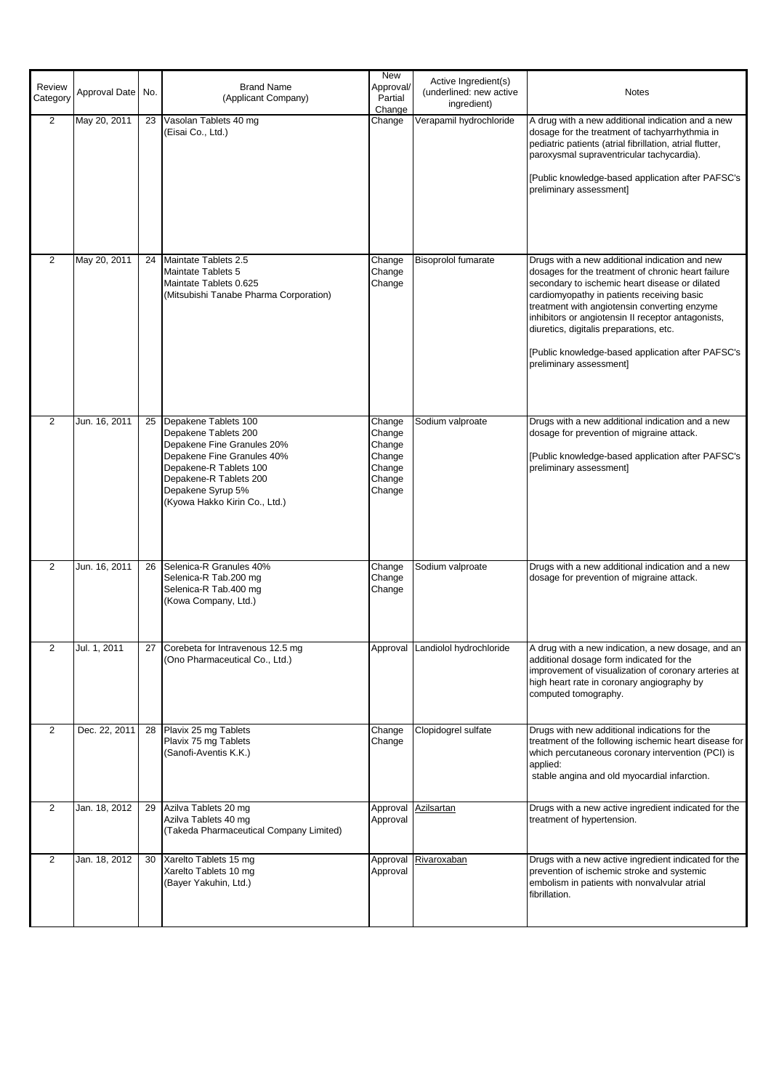| Review<br>Category | Approval Date | No. | <b>Brand Name</b><br>(Applicant Company)                                                                                                                                                                           | <b>New</b><br>Approval/<br>Partial<br>Change                       | Active Ingredient(s)<br>(underlined: new active<br>ingredient) | <b>Notes</b>                                                                                                                                                                                                                                                                                                                                                                                                                          |
|--------------------|---------------|-----|--------------------------------------------------------------------------------------------------------------------------------------------------------------------------------------------------------------------|--------------------------------------------------------------------|----------------------------------------------------------------|---------------------------------------------------------------------------------------------------------------------------------------------------------------------------------------------------------------------------------------------------------------------------------------------------------------------------------------------------------------------------------------------------------------------------------------|
| $\overline{2}$     | May 20, 2011  | 23  | Vasolan Tablets 40 mg<br>(Eisai Co., Ltd.)                                                                                                                                                                         | Change                                                             | Verapamil hydrochloride                                        | A drug with a new additional indication and a new<br>dosage for the treatment of tachyarrhythmia in<br>pediatric patients (atrial fibrillation, atrial flutter,<br>paroxysmal supraventricular tachycardia).<br>[Public knowledge-based application after PAFSC's<br>preliminary assessment]                                                                                                                                          |
| $\overline{2}$     | May 20, 2011  | 24  | Maintate Tablets 2.5<br>Maintate Tablets 5<br>Maintate Tablets 0.625<br>(Mitsubishi Tanabe Pharma Corporation)                                                                                                     | Change<br>Change<br>Change                                         | <b>Bisoprolol fumarate</b>                                     | Drugs with a new additional indication and new<br>dosages for the treatment of chronic heart failure<br>secondary to ischemic heart disease or dilated<br>cardiomyopathy in patients receiving basic<br>treatment with angiotensin converting enzyme<br>inhibitors or angiotensin II receptor antagonists,<br>diuretics, digitalis preparations, etc.<br>[Public knowledge-based application after PAFSC's<br>preliminary assessment] |
| 2                  | Jun. 16, 2011 | 25  | Depakene Tablets 100<br>Depakene Tablets 200<br>Depakene Fine Granules 20%<br>Depakene Fine Granules 40%<br>Depakene-R Tablets 100<br>Depakene-R Tablets 200<br>Depakene Syrup 5%<br>(Kyowa Hakko Kirin Co., Ltd.) | Change<br>Change<br>Change<br>Change<br>Change<br>Change<br>Change | Sodium valproate                                               | Drugs with a new additional indication and a new<br>dosage for prevention of migraine attack.<br>[Public knowledge-based application after PAFSC's<br>preliminary assessment]                                                                                                                                                                                                                                                         |
| $\overline{2}$     | Jun. 16, 2011 | 26  | Selenica-R Granules 40%<br>Selenica-R Tab.200 mg<br>Selenica-R Tab.400 mg<br>(Kowa Company, Ltd.)                                                                                                                  | Change<br>Change<br>Change                                         | Sodium valproate                                               | Drugs with a new additional indication and a new<br>dosage for prevention of migraine attack.                                                                                                                                                                                                                                                                                                                                         |
|                    | Jul. 1, 2011  |     | 27 Corebeta for Intravenous 12.5 mg<br>(Ono Pharmaceutical Co., Ltd.)                                                                                                                                              |                                                                    | Approval Landiolol hydrochloride                               | A drug with a new indication, a new dosage, and an<br>additional dosage form indicated for the<br>improvement of visualization of coronary arteries at<br>high heart rate in coronary angiography by<br>computed tomography.                                                                                                                                                                                                          |
| $\mathbf{2}$       | Dec. 22, 2011 | 28  | Plavix 25 mg Tablets<br>Plavix 75 mg Tablets<br>(Sanofi-Aventis K.K.)                                                                                                                                              | Change<br>Change                                                   | Clopidogrel sulfate                                            | Drugs with new additional indications for the<br>treatment of the following ischemic heart disease for<br>which percutaneous coronary intervention (PCI) is<br>applied:<br>stable angina and old myocardial infarction.                                                                                                                                                                                                               |
| 2                  | Jan. 18, 2012 | 29  | Azilva Tablets 20 mg<br>Azilva Tablets 40 mg<br>(Takeda Pharmaceutical Company Limited)                                                                                                                            | Approval<br>Approval                                               | <b>Azilsartan</b>                                              | Drugs with a new active ingredient indicated for the<br>treatment of hypertension.                                                                                                                                                                                                                                                                                                                                                    |
| 2                  | Jan. 18, 2012 | 30  | Xarelto Tablets 15 mg<br>Xarelto Tablets 10 mg<br>(Bayer Yakuhin, Ltd.)                                                                                                                                            | Approval                                                           | Approval Rivaroxaban                                           | Drugs with a new active ingredient indicated for the<br>prevention of ischemic stroke and systemic<br>embolism in patients with nonvalvular atrial<br>fibrillation.                                                                                                                                                                                                                                                                   |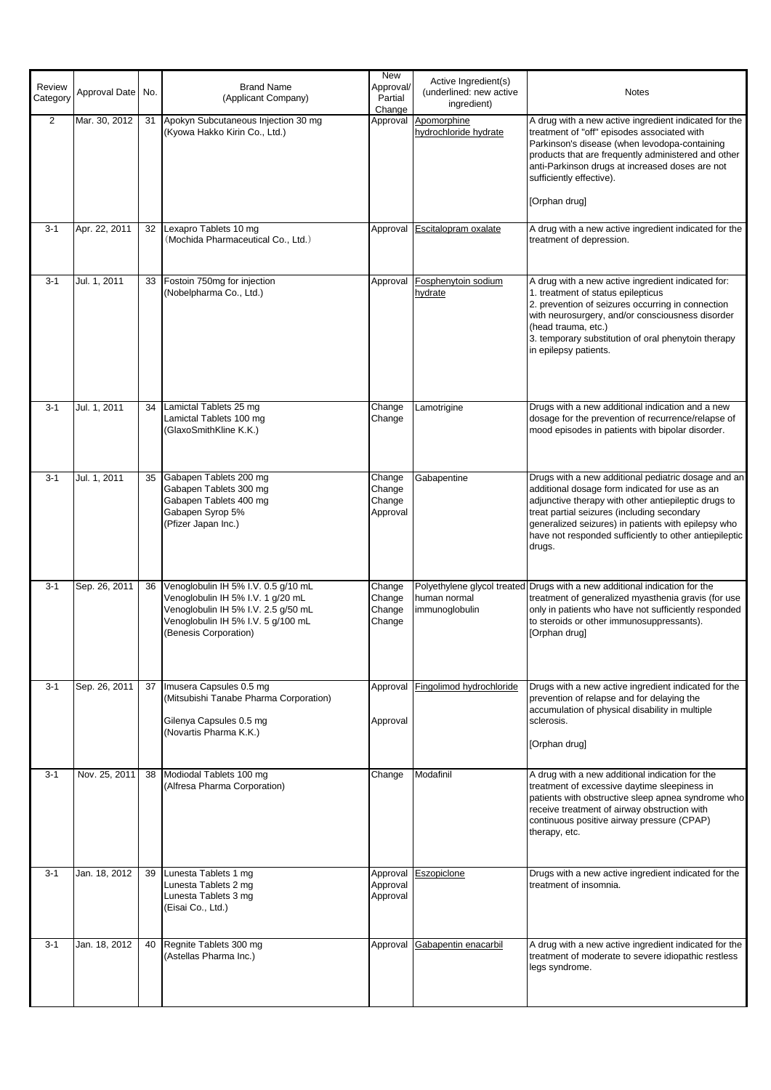|                    |                   |    |                                                                                                                                                                                | New                                    | Active Ingredient(s)                          |                                                                                                                                                                                                                                                                                                                                         |
|--------------------|-------------------|----|--------------------------------------------------------------------------------------------------------------------------------------------------------------------------------|----------------------------------------|-----------------------------------------------|-----------------------------------------------------------------------------------------------------------------------------------------------------------------------------------------------------------------------------------------------------------------------------------------------------------------------------------------|
| Review<br>Category | Approval Date No. |    | <b>Brand Name</b><br>(Applicant Company)                                                                                                                                       | Approval/<br>Partial<br>Change         | (underlined: new active<br>ingredient)        | Notes                                                                                                                                                                                                                                                                                                                                   |
| $\overline{2}$     | Mar. 30, 2012     | 31 | Apokyn Subcutaneous Injection 30 mg<br>(Kyowa Hakko Kirin Co., Ltd.)                                                                                                           |                                        | Approval Apomorphine<br>hydrochloride hydrate | A drug with a new active ingredient indicated for the<br>treatment of "off" episodes associated with<br>Parkinson's disease (when levodopa-containing<br>products that are frequently administered and other<br>anti-Parkinson drugs at increased doses are not<br>sufficiently effective).<br>[Orphan drug]                            |
| $3 - 1$            | Apr. 22, 2011     |    | 32 Lexapro Tablets 10 mg<br>(Mochida Pharmaceutical Co., Ltd.)                                                                                                                 |                                        | Approval Escitalopram oxalate                 | A drug with a new active ingredient indicated for the<br>treatment of depression.                                                                                                                                                                                                                                                       |
| $3 - 1$            | Jul. 1, 2011      | 33 | Fostoin 750mg for injection<br>(Nobelpharma Co., Ltd.)                                                                                                                         | Approval                               | Fosphenytoin sodium<br>hydrate                | A drug with a new active ingredient indicated for:<br>1. treatment of status epilepticus<br>2. prevention of seizures occurring in connection<br>with neurosurgery, and/or consciousness disorder<br>(head trauma, etc.)<br>3. temporary substitution of oral phenytoin therapy<br>in epilepsy patients.                                |
| $3 - 1$            | Jul. 1, 2011      |    | 34   Lamictal Tablets 25 mg<br>Lamictal Tablets 100 mg<br>(GlaxoSmithKline K.K.)                                                                                               | Change<br>Change                       | Lamotrigine                                   | Drugs with a new additional indication and a new<br>dosage for the prevention of recurrence/relapse of<br>mood episodes in patients with bipolar disorder.                                                                                                                                                                              |
| $3 - 1$            | Jul. 1, 2011      | 35 | Gabapen Tablets 200 mg<br>Gabapen Tablets 300 mg<br>Gabapen Tablets 400 mg<br>Gabapen Syrop 5%<br>(Pfizer Japan Inc.)                                                          | Change<br>Change<br>Change<br>Approval | Gabapentine                                   | Drugs with a new additional pediatric dosage and an<br>additional dosage form indicated for use as an<br>adjunctive therapy with other antiepileptic drugs to<br>treat partial seizures (including secondary<br>generalized seizures) in patients with epilepsy who<br>have not responded sufficiently to other antiepileptic<br>drugs. |
| $3 - 1$            | Sep. 26, 2011     | 36 | Venoglobulin IH 5% I.V. 0.5 g/10 mL<br>Venoglobulin IH 5% I.V. 1 g/20 mL<br>Venoglobulin IH 5% I.V. 2.5 g/50 mL<br>Venoglobulin IH 5% I.V. 5 g/100 mL<br>(Benesis Corporation) | Change<br>Change<br>Change<br>Change   | human normal<br>immunoglobulin                | Polyethylene glycol treated Drugs with a new additional indication for the<br>treatment of generalized myasthenia gravis (for use<br>only in patients who have not sufficiently responded<br>to steroids or other immunosuppressants).<br>[Orphan drug]                                                                                 |
| $3 - 1$            | Sep. 26, 2011     |    | 37 Imusera Capsules 0.5 mg<br>(Mitsubishi Tanabe Pharma Corporation)<br>Gilenya Capsules 0.5 mg<br>(Novartis Pharma K.K.)                                                      | Approval<br>Approval                   | Fingolimod hydrochloride                      | Drugs with a new active ingredient indicated for the<br>prevention of relapse and for delaying the<br>accumulation of physical disability in multiple<br>sclerosis.<br>[Orphan drug]                                                                                                                                                    |
| $3 - 1$            | Nov. 25, 2011     | 38 | Modiodal Tablets 100 mg<br>(Alfresa Pharma Corporation)                                                                                                                        | Change                                 | Modafinil                                     | A drug with a new additional indication for the<br>treatment of excessive daytime sleepiness in<br>patients with obstructive sleep apnea syndrome who<br>receive treatment of airway obstruction with<br>continuous positive airway pressure (CPAP)<br>therapy, etc.                                                                    |
| $3 - 1$            | Jan. 18, 2012     | 39 | Lunesta Tablets 1 mg<br>Lunesta Tablets 2 mg<br>Lunesta Tablets 3 mg<br>(Eisai Co., Ltd.)                                                                                      | Approval<br>Approval<br>Approval       | Eszopiclone                                   | Drugs with a new active ingredient indicated for the<br>treatment of insomnia.                                                                                                                                                                                                                                                          |
| $3 - 1$            | Jan. 18, 2012     | 40 | Regnite Tablets 300 mg<br>(Astellas Pharma Inc.)                                                                                                                               |                                        | Approval Gabapentin enacarbil                 | A drug with a new active ingredient indicated for the<br>treatment of moderate to severe idiopathic restless<br>legs syndrome.                                                                                                                                                                                                          |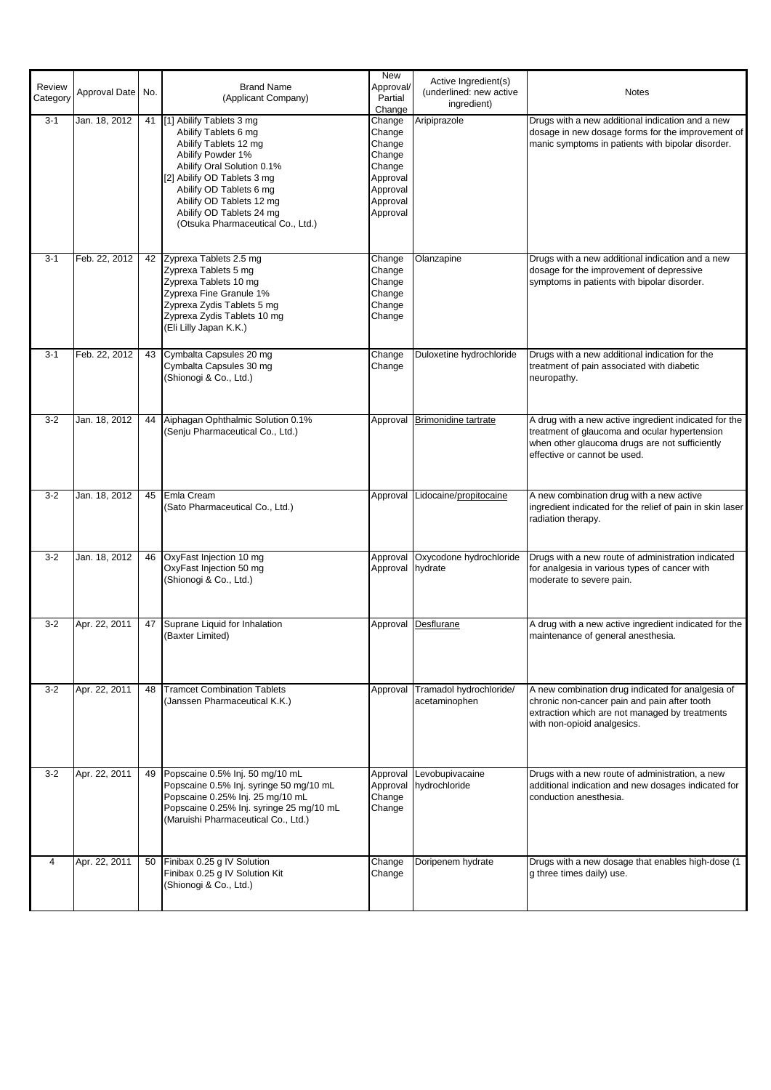| Review<br>Category | Approval Date No. |    | <b>Brand Name</b><br>(Applicant Company)                                                                                                                                                                                                                                               | <b>New</b><br>Approval/<br>Partial<br>Change                                                   | Active Ingredient(s)<br>(underlined: new active<br>ingredient) | <b>Notes</b>                                                                                                                                                                             |
|--------------------|-------------------|----|----------------------------------------------------------------------------------------------------------------------------------------------------------------------------------------------------------------------------------------------------------------------------------------|------------------------------------------------------------------------------------------------|----------------------------------------------------------------|------------------------------------------------------------------------------------------------------------------------------------------------------------------------------------------|
| $3 - 1$            | Jan. 18, 2012     |    | 41 [1] Abilify Tablets 3 mg<br>Abilify Tablets 6 mg<br>Abilify Tablets 12 mg<br>Abilify Powder 1%<br>Abilify Oral Solution 0.1%<br>[2] Abilify OD Tablets 3 mg<br>Abilify OD Tablets 6 mg<br>Abilify OD Tablets 12 mg<br>Abilify OD Tablets 24 mg<br>(Otsuka Pharmaceutical Co., Ltd.) | Change<br>Change<br>Change<br>Change<br>Change<br>Approval<br>Approval<br>Approval<br>Approval | Aripiprazole                                                   | Drugs with a new additional indication and a new<br>dosage in new dosage forms for the improvement of<br>manic symptoms in patients with bipolar disorder.                               |
| $3 - 1$            | Feb. 22, 2012     | 42 | Zyprexa Tablets 2.5 mg<br>Zyprexa Tablets 5 mg<br>Zyprexa Tablets 10 mg<br>Zyprexa Fine Granule 1%<br>Zyprexa Zydis Tablets 5 mg<br>Zyprexa Zydis Tablets 10 mg<br>(Eli Lilly Japan K.K.)                                                                                              | Change<br>Change<br>Change<br>Change<br>Change<br>Change                                       | Olanzapine                                                     | Drugs with a new additional indication and a new<br>dosage for the improvement of depressive<br>symptoms in patients with bipolar disorder.                                              |
| $3 - 1$            | Feb. 22, 2012     | 43 | Cymbalta Capsules 20 mg<br>Cymbalta Capsules 30 mg<br>(Shionogi & Co., Ltd.)                                                                                                                                                                                                           | Change<br>Change                                                                               | Duloxetine hydrochloride                                       | Drugs with a new additional indication for the<br>treatment of pain associated with diabetic<br>neuropathy.                                                                              |
| $3 - 2$            | Jan. 18, 2012     | 44 | Aiphagan Ophthalmic Solution 0.1%<br>(Senju Pharmaceutical Co., Ltd.)                                                                                                                                                                                                                  | Approval                                                                                       | <b>Brimonidine tartrate</b>                                    | A drug with a new active ingredient indicated for the<br>treatment of glaucoma and ocular hypertension<br>when other glaucoma drugs are not sufficiently<br>effective or cannot be used. |
| $3 - 2$            | Jan. 18, 2012     | 45 | Emla Cream<br>(Sato Pharmaceutical Co., Ltd.)                                                                                                                                                                                                                                          |                                                                                                | Approval Lidocaine/propitocaine                                | A new combination drug with a new active<br>ingredient indicated for the relief of pain in skin laser<br>radiation therapy.                                                              |
| $3 - 2$            | Jan. 18, 2012     | 46 | OxyFast Injection 10 mg<br>OxyFast Injection 50 mg<br>(Shionogi & Co., Ltd.)                                                                                                                                                                                                           | Approval<br>Approval                                                                           | Oxycodone hydrochloride<br>hydrate                             | Drugs with a new route of administration indicated<br>for analgesia in various types of cancer with<br>moderate to severe pain.                                                          |
| $3 - 2$            | Apr. 22, 2011     | 47 | Suprane Liquid for Inhalation<br>(Baxter Limited)                                                                                                                                                                                                                                      |                                                                                                | Approval Desflurane                                            | A drug with a new active ingredient indicated for the<br>maintenance of general anesthesia.                                                                                              |
| $3-2$              | Apr. 22, 2011     | 48 | <b>Tramcet Combination Tablets</b><br>(Janssen Pharmaceutical K.K.)                                                                                                                                                                                                                    | Approval                                                                                       | Tramadol hydrochloride/<br>acetaminophen                       | A new combination drug indicated for analgesia of<br>chronic non-cancer pain and pain after tooth<br>extraction which are not managed by treatments<br>with non-opioid analgesics.       |
| $3 - 2$            | Apr. 22, 2011     | 49 | Popscaine 0.5% Inj. 50 mg/10 mL<br>Popscaine 0.5% Inj. syringe 50 mg/10 mL<br>Popscaine 0.25% Inj. 25 mg/10 mL<br>Popscaine 0.25% Inj. syringe 25 mg/10 mL<br>(Maruishi Pharmaceutical Co., Ltd.)                                                                                      | Approval<br>Approval<br>Change<br>Change                                                       | Levobupivacaine<br>hydrochloride                               | Drugs with a new route of administration, a new<br>additional indication and new dosages indicated for<br>conduction anesthesia.                                                         |
| 4                  | Apr. 22, 2011     | 50 | Finibax 0.25 g IV Solution<br>Finibax 0.25 g IV Solution Kit<br>(Shionogi & Co., Ltd.)                                                                                                                                                                                                 | Change<br>Change                                                                               | Doripenem hydrate                                              | Drugs with a new dosage that enables high-dose (1<br>g three times daily) use.                                                                                                           |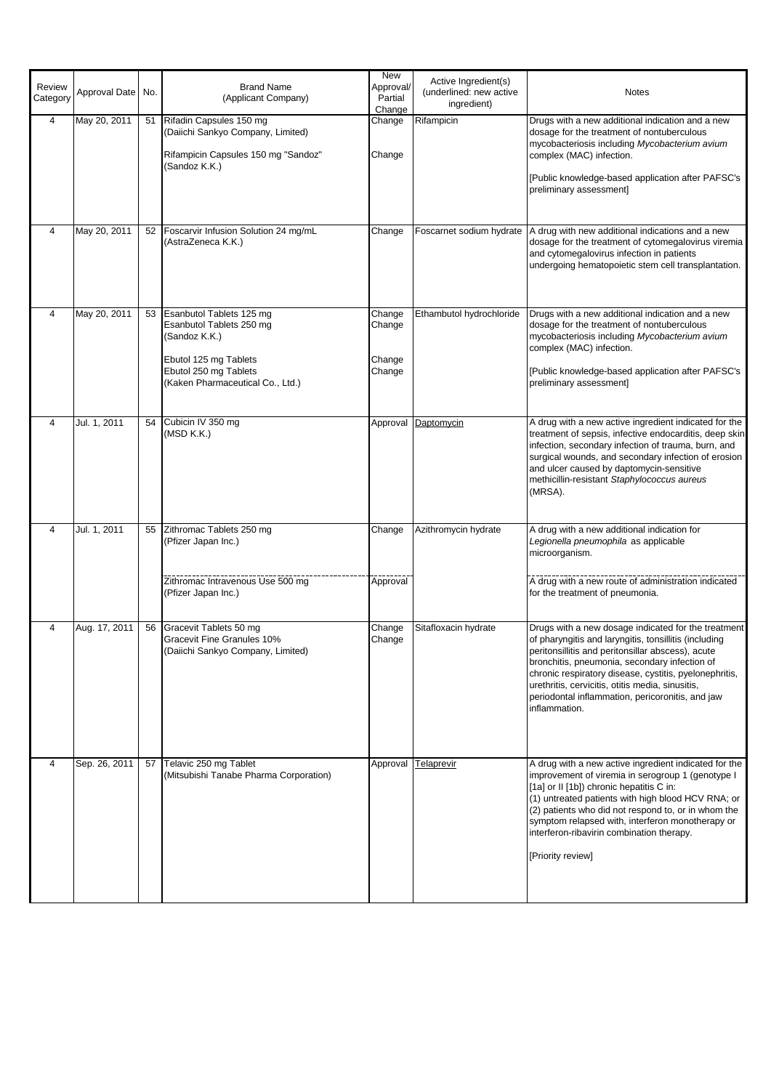| Review<br>Category | Approval Date | No. | <b>Brand Name</b><br>(Applicant Company)                                                                                                                    | New<br>Approval/<br>Partial<br>Change | Active Ingredient(s)<br>(underlined: new active<br>ingredient) | <b>Notes</b>                                                                                                                                                                                                                                                                                                                                                                                          |
|--------------------|---------------|-----|-------------------------------------------------------------------------------------------------------------------------------------------------------------|---------------------------------------|----------------------------------------------------------------|-------------------------------------------------------------------------------------------------------------------------------------------------------------------------------------------------------------------------------------------------------------------------------------------------------------------------------------------------------------------------------------------------------|
| 4                  | May 20, 2011  |     | 51 Rifadin Capsules 150 mg<br>(Daiichi Sankyo Company, Limited)<br>Rifampicin Capsules 150 mg "Sandoz"<br>(Sandoz K.K.)                                     | Change<br>Change                      | Rifampicin                                                     | Drugs with a new additional indication and a new<br>dosage for the treatment of nontuberculous<br>mycobacteriosis including Mycobacterium avium<br>complex (MAC) infection.<br>[Public knowledge-based application after PAFSC's<br>preliminary assessment]                                                                                                                                           |
| 4                  | May 20, 2011  |     | 52 Foscarvir Infusion Solution 24 mg/mL<br>(AstraZeneca K.K.)                                                                                               | Change                                | Foscarnet sodium hydrate                                       | A drug with new additional indications and a new<br>dosage for the treatment of cytomegalovirus viremia<br>and cytomegalovirus infection in patients<br>undergoing hematopoietic stem cell transplantation.                                                                                                                                                                                           |
| 4                  | May 20, 2011  | 53  | Esanbutol Tablets 125 mg<br>Esanbutol Tablets 250 mg<br>(Sandoz K.K.)<br>Ebutol 125 mg Tablets<br>Ebutol 250 mg Tablets<br>(Kaken Pharmaceutical Co., Ltd.) | Change<br>Change<br>Change<br>Change  | Ethambutol hydrochloride                                       | Drugs with a new additional indication and a new<br>dosage for the treatment of nontuberculous<br>mycobacteriosis including Mycobacterium avium<br>complex (MAC) infection.<br>[Public knowledge-based application after PAFSC's<br>preliminary assessment]                                                                                                                                           |
| 4                  | Jul. 1, 2011  | 54  | Cubicin IV 350 mg<br>(MSD K.K.)                                                                                                                             | Approval                              | Daptomycin                                                     | A drug with a new active ingredient indicated for the<br>treatment of sepsis, infective endocarditis, deep skin<br>infection, secondary infection of trauma, burn, and<br>surgical wounds, and secondary infection of erosion<br>and ulcer caused by daptomycin-sensitive<br>methicillin-resistant Staphylococcus aureus<br>(MRSA).                                                                   |
| 4                  | Jul. 1, 2011  | 55  | Zithromac Tablets 250 mg<br>(Pfizer Japan Inc.)<br>Zithromac Intravenous Use 500 mg                                                                         | Change<br>Approval                    | Azithromycin hydrate                                           | A drug with a new additional indication for<br>Legionella pneumophila as applicable<br>microorganism.<br>A drug with a new route of administration indicated                                                                                                                                                                                                                                          |
|                    |               |     | (Pfizer Japan Inc.)                                                                                                                                         |                                       |                                                                | for the treatment of pneumonia.                                                                                                                                                                                                                                                                                                                                                                       |
| 4                  | Aug. 17, 2011 | 56  | Gracevit Tablets 50 mg<br><b>Gracevit Fine Granules 10%</b><br>(Daiichi Sankyo Company, Limited)                                                            | Change<br>Change                      | Sitafloxacin hydrate                                           | Drugs with a new dosage indicated for the treatment<br>of pharyngitis and laryngitis, tonsillitis (including<br>peritonsiliitis and peritonsillar abscess), acute<br>bronchitis, pneumonia, secondary infection of<br>chronic respiratory disease, cystitis, pyelonephritis,<br>urethritis, cervicitis, otitis media, sinusitis,<br>periodontal inflammation, pericoronitis, and jaw<br>inflammation. |
| 4                  | Sep. 26, 2011 |     | 57 Telavic 250 mg Tablet<br>(Mitsubishi Tanabe Pharma Corporation)                                                                                          | Approval                              | Telaprevir                                                     | A drug with a new active ingredient indicated for the<br>improvement of viremia in serogroup 1 (genotype I<br>[1a] or II [1b]) chronic hepatitis C in:<br>(1) untreated patients with high blood HCV RNA; or<br>(2) patients who did not respond to, or in whom the<br>symptom relapsed with, interferon monotherapy or<br>interferon-ribavirin combination therapy.<br>[Priority review]             |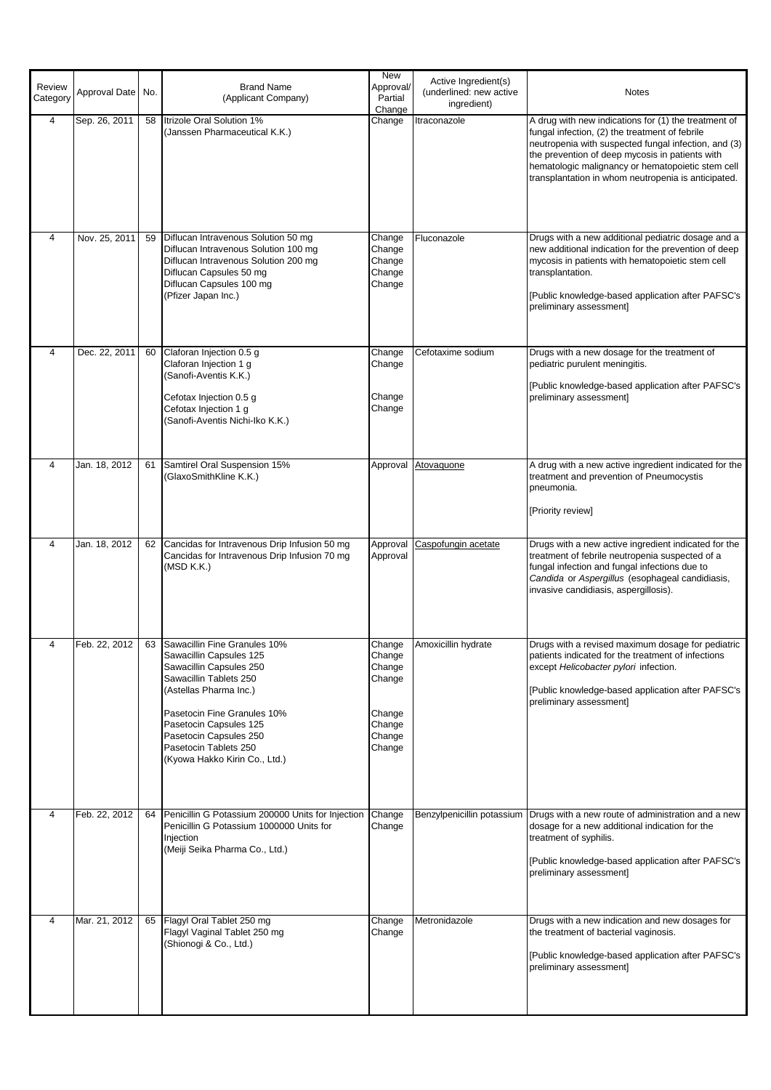| Review<br>Category | Approval Date No. |    | <b>Brand Name</b><br>(Applicant Company)                                                                                                                                                                                                                                               | <b>New</b><br>Approval/<br>Partial<br>Change                                 | Active Ingredient(s)<br>(underlined: new active<br>ingredient) | <b>Notes</b>                                                                                                                                                                                                                                                                                                                  |
|--------------------|-------------------|----|----------------------------------------------------------------------------------------------------------------------------------------------------------------------------------------------------------------------------------------------------------------------------------------|------------------------------------------------------------------------------|----------------------------------------------------------------|-------------------------------------------------------------------------------------------------------------------------------------------------------------------------------------------------------------------------------------------------------------------------------------------------------------------------------|
| $\overline{4}$     | Sep. 26, 2011     |    | 58 Itrizole Oral Solution 1%<br>(Janssen Pharmaceutical K.K.)                                                                                                                                                                                                                          | Change                                                                       | Itraconazole                                                   | A drug with new indications for (1) the treatment of<br>fungal infection, (2) the treatment of febrile<br>neutropenia with suspected fungal infection, and (3)<br>the prevention of deep mycosis in patients with<br>hematologic malignancy or hematopoietic stem cell<br>transplantation in whom neutropenia is anticipated. |
| $\overline{4}$     | Nov. 25, 2011     | 59 | Diflucan Intravenous Solution 50 mg<br>Diflucan Intravenous Solution 100 mg<br>Diflucan Intravenous Solution 200 mg<br>Diflucan Capsules 50 mg<br>Diflucan Capsules 100 mg<br>(Pfizer Japan Inc.)                                                                                      | Change<br>Change<br>Change<br>Change<br>Change                               | Fluconazole                                                    | Drugs with a new additional pediatric dosage and a<br>new additional indication for the prevention of deep<br>mycosis in patients with hematopoietic stem cell<br>transplantation.<br>[Public knowledge-based application after PAFSC's<br>preliminary assessment]                                                            |
| $\overline{4}$     | Dec. 22, 2011     | 60 | Claforan Injection 0.5 g<br>Claforan Injection 1 g<br>(Sanofi-Aventis K.K.)<br>Cefotax Injection 0.5 g<br>Cefotax Injection 1 g<br>(Sanofi-Aventis Nichi-Iko K.K.)                                                                                                                     | Change<br>Change<br>Change<br>Change                                         | Cefotaxime sodium                                              | Drugs with a new dosage for the treatment of<br>pediatric purulent meningitis.<br>[Public knowledge-based application after PAFSC's<br>preliminary assessment]                                                                                                                                                                |
| $\overline{4}$     | Jan. 18, 2012     | 61 | Samtirel Oral Suspension 15%<br>(GlaxoSmithKline K.K.)                                                                                                                                                                                                                                 | Approval                                                                     | Atovaquone                                                     | A drug with a new active ingredient indicated for the<br>treatment and prevention of Pneumocystis<br>pneumonia.<br>[Priority review]                                                                                                                                                                                          |
| 4                  | Jan. 18, 2012     | 62 | Cancidas for Intravenous Drip Infusion 50 mg<br>Cancidas for Intravenous Drip Infusion 70 mg<br>(MSD K.K.)                                                                                                                                                                             | Approval<br>Approval                                                         | Caspofungin acetate                                            | Drugs with a new active ingredient indicated for the<br>treatment of febrile neutropenia suspected of a<br>fungal infection and fungal infections due to<br>Candida or Aspergillus (esophageal candidiasis,<br>invasive candidiasis, aspergillosis).                                                                          |
| 4                  | Feb. 22, 2012     |    | 63 Sawacillin Fine Granules 10%<br>Sawacillin Capsules 125<br>Sawacillin Capsules 250<br>Sawacillin Tablets 250<br>(Astellas Pharma Inc.)<br>Pasetocin Fine Granules 10%<br>Pasetocin Capsules 125<br>Pasetocin Capsules 250<br>Pasetocin Tablets 250<br>(Kyowa Hakko Kirin Co., Ltd.) | Change<br>Change<br>Change<br>Change<br>Change<br>Change<br>Change<br>Change | Amoxicillin hydrate                                            | Drugs with a revised maximum dosage for pediatric<br>patients indicated for the treatment of infections<br>except Helicobacter pylori infection.<br>[Public knowledge-based application after PAFSC's<br>preliminary assessment]                                                                                              |
| $\overline{4}$     | Feb. 22, 2012     | 64 | Penicillin G Potassium 200000 Units for Injection<br>Penicillin G Potassium 1000000 Units for<br>Injection<br>(Meiji Seika Pharma Co., Ltd.)                                                                                                                                           | Change<br>Change                                                             | Benzylpenicillin potassium                                     | Drugs with a new route of administration and a new<br>dosage for a new additional indication for the<br>treatment of syphilis.<br>[Public knowledge-based application after PAFSC's<br>preliminary assessment]                                                                                                                |
| 4                  | Mar. 21, 2012     | 65 | Flagyl Oral Tablet 250 mg<br>Flagyl Vaginal Tablet 250 mg<br>(Shionogi & Co., Ltd.)                                                                                                                                                                                                    | Change<br>Change                                                             | Metronidazole                                                  | Drugs with a new indication and new dosages for<br>the treatment of bacterial vaginosis.<br>[Public knowledge-based application after PAFSC's<br>preliminary assessment]                                                                                                                                                      |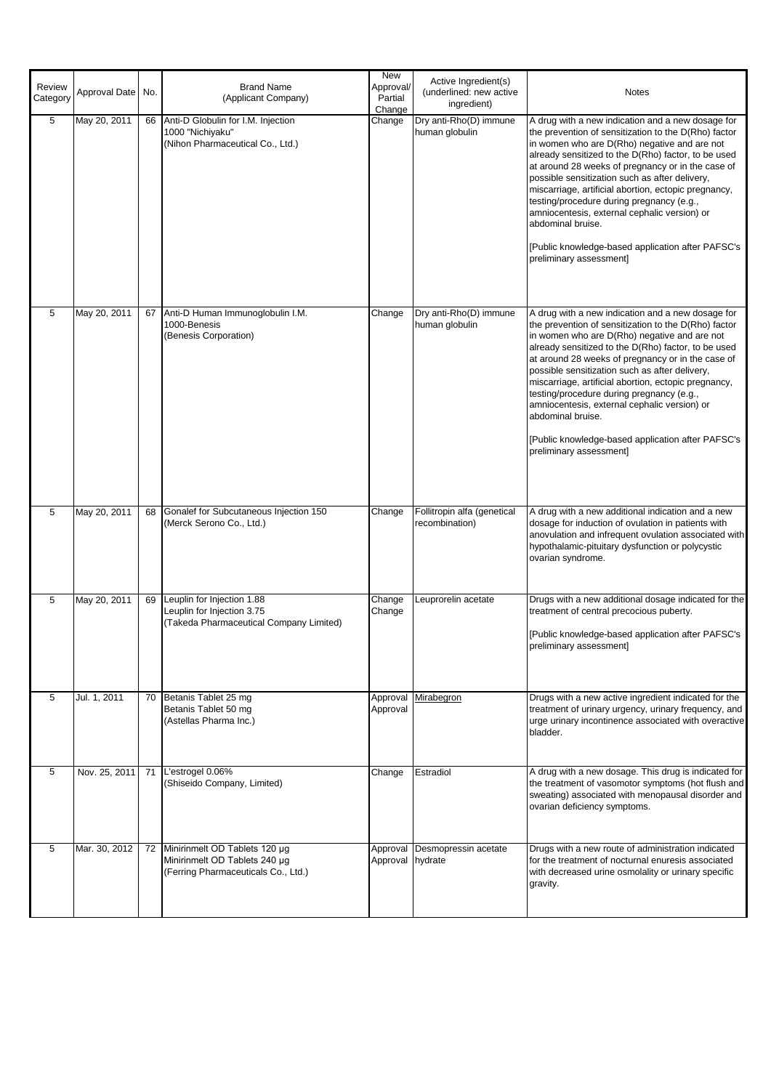| Review<br>Category | Approval Date No. |    | <b>Brand Name</b><br>(Applicant Company)                                                              | <b>New</b><br>Approval/<br>Partial<br>Change | Active Ingredient(s)<br>(underlined: new active<br>ingredient) | <b>Notes</b>                                                                                                                                                                                                                                                                                                                                                                                                                                                                                                                                                                      |
|--------------------|-------------------|----|-------------------------------------------------------------------------------------------------------|----------------------------------------------|----------------------------------------------------------------|-----------------------------------------------------------------------------------------------------------------------------------------------------------------------------------------------------------------------------------------------------------------------------------------------------------------------------------------------------------------------------------------------------------------------------------------------------------------------------------------------------------------------------------------------------------------------------------|
| 5                  | May 20, 2011      | 66 | Anti-D Globulin for I.M. Injection<br>1000 "Nichiyaku"<br>(Nihon Pharmaceutical Co., Ltd.)            | Change                                       | Dry anti-Rho(D) immune<br>human globulin                       | A drug with a new indication and a new dosage for<br>the prevention of sensitization to the D(Rho) factor<br>in women who are D(Rho) negative and are not<br>already sensitized to the D(Rho) factor, to be used<br>at around 28 weeks of pregnancy or in the case of<br>possible sensitization such as after delivery,<br>miscarriage, artificial abortion, ectopic pregnancy,<br>testing/procedure during pregnancy (e.g.,<br>amniocentesis, external cephalic version) or<br>abdominal bruise.<br>[Public knowledge-based application after PAFSC's<br>preliminary assessment] |
| 5                  | May 20, 2011      | 67 | Anti-D Human Immunoglobulin I.M.<br>1000-Benesis<br>(Benesis Corporation)                             | Change                                       | Dry anti-Rho(D) immune<br>human globulin                       | A drug with a new indication and a new dosage for<br>the prevention of sensitization to the D(Rho) factor<br>in women who are D(Rho) negative and are not<br>already sensitized to the D(Rho) factor, to be used<br>at around 28 weeks of pregnancy or in the case of<br>possible sensitization such as after delivery,<br>miscarriage, artificial abortion, ectopic pregnancy,<br>testing/procedure during pregnancy (e.g.,<br>amniocentesis, external cephalic version) or<br>abdominal bruise.<br>[Public knowledge-based application after PAFSC's<br>preliminary assessment] |
| 5                  | May 20, 2011      | 68 | Gonalef for Subcutaneous Injection 150<br>(Merck Serono Co., Ltd.)                                    | Change                                       | Follitropin alfa (genetical<br>recombination)                  | A drug with a new additional indication and a new<br>dosage for induction of ovulation in patients with<br>anovulation and infrequent ovulation associated with<br>hypothalamic-pituitary dysfunction or polycystic<br>ovarian syndrome.                                                                                                                                                                                                                                                                                                                                          |
| 5                  | May 20, 2011      | 69 | Leuplin for Injection 1.88<br>Leuplin for Injection 3.75<br>(Takeda Pharmaceutical Company Limited)   | Change<br>Change                             | Leuprorelin acetate                                            | Drugs with a new additional dosage indicated for the<br>treatment of central precocious puberty.<br>[Public knowledge-based application after PAFSC's<br>preliminary assessment]                                                                                                                                                                                                                                                                                                                                                                                                  |
| 5                  | Jul. 1, 2011      |    | 70 Betanis Tablet 25 mg<br>Betanis Tablet 50 mg<br>(Astellas Pharma Inc.)                             | Approval<br>Approval                         | Mirabegron                                                     | Drugs with a new active ingredient indicated for the<br>treatment of urinary urgency, urinary frequency, and<br>urge urinary incontinence associated with overactive<br>bladder.                                                                                                                                                                                                                                                                                                                                                                                                  |
| 5                  | Nov. 25, 2011     | 71 | L'estrogel 0.06%<br>(Shiseido Company, Limited)                                                       | Change                                       | Estradiol                                                      | A drug with a new dosage. This drug is indicated for<br>the treatment of vasomotor symptoms (hot flush and<br>sweating) associated with menopausal disorder and<br>ovarian deficiency symptoms.                                                                                                                                                                                                                                                                                                                                                                                   |
| 5                  | Mar. 30, 2012     | 72 | Minirinmelt OD Tablets 120 µg<br>Minirinmelt OD Tablets 240 µg<br>(Ferring Pharmaceuticals Co., Ltd.) | Approval hydrate                             | Approval Desmopressin acetate                                  | Drugs with a new route of administration indicated<br>for the treatment of nocturnal enuresis associated<br>with decreased urine osmolality or urinary specific<br>gravity.                                                                                                                                                                                                                                                                                                                                                                                                       |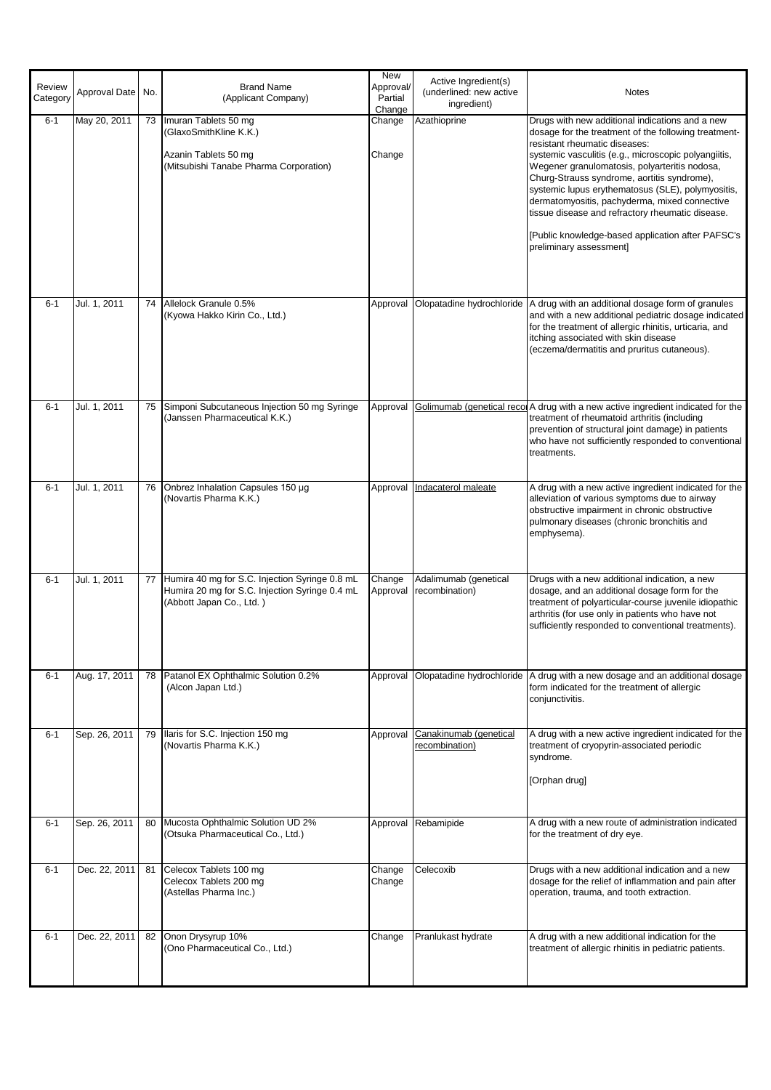| Review<br>Category | Approval Date | No. | <b>Brand Name</b><br>(Applicant Company)                                                                                     | New<br>Approval/<br>Partial<br>Change | Active Ingredient(s)<br>(underlined: new active<br>ingredient) | <b>Notes</b>                                                                                                                                                                                                                                                                                                                                                                                                                                                                                                                               |
|--------------------|---------------|-----|------------------------------------------------------------------------------------------------------------------------------|---------------------------------------|----------------------------------------------------------------|--------------------------------------------------------------------------------------------------------------------------------------------------------------------------------------------------------------------------------------------------------------------------------------------------------------------------------------------------------------------------------------------------------------------------------------------------------------------------------------------------------------------------------------------|
| $6 - 1$            | May 20, 2011  |     | 73 Imuran Tablets 50 mg<br>(GlaxoSmithKline K.K.)<br>Azanin Tablets 50 mg<br>(Mitsubishi Tanabe Pharma Corporation)          | Change<br>Change                      | Azathioprine                                                   | Drugs with new additional indications and a new<br>dosage for the treatment of the following treatment-<br>resistant rheumatic diseases:<br>systemic vasculitis (e.g., microscopic polyangiitis,<br>Wegener granulomatosis, polyarteritis nodosa,<br>Churg-Strauss syndrome, aortitis syndrome),<br>systemic lupus erythematosus (SLE), polymyositis,<br>dermatomyositis, pachyderma, mixed connective<br>tissue disease and refractory rheumatic disease.<br>[Public knowledge-based application after PAFSC's<br>preliminary assessment] |
| $6 - 1$            | Jul. 1, 2011  | 74  | Allelock Granule 0.5%<br>(Kyowa Hakko Kirin Co., Ltd.)                                                                       | Approval                              |                                                                | Olopatadine hydrochloride   A drug with an additional dosage form of granules<br>and with a new additional pediatric dosage indicated<br>for the treatment of allergic rhinitis, urticaria, and<br>itching associated with skin disease<br>(eczema/dermatitis and pruritus cutaneous).                                                                                                                                                                                                                                                     |
| $6 - 1$            | Jul. 1, 2011  | 75  | Simponi Subcutaneous Injection 50 mg Syringe<br>(Janssen Pharmaceutical K.K.)                                                | Approval                              |                                                                | Golimumab (genetical recor A drug with a new active ingredient indicated for the<br>treatment of rheumatoid arthritis (including<br>prevention of structural joint damage) in patients<br>who have not sufficiently responded to conventional<br>treatments.                                                                                                                                                                                                                                                                               |
| $6 - 1$            | Jul. 1, 2011  | 76  | Onbrez Inhalation Capsules 150 µg<br>(Novartis Pharma K.K.)                                                                  | Approval                              | Indacaterol maleate                                            | A drug with a new active ingredient indicated for the<br>alleviation of various symptoms due to airway<br>obstructive impairment in chronic obstructive<br>pulmonary diseases (chronic bronchitis and<br>emphysema).                                                                                                                                                                                                                                                                                                                       |
| $6 - 1$            | Jul. 1, 2011  | 77  | Humira 40 mg for S.C. Injection Syringe 0.8 mL<br>Humira 20 mg for S.C. Injection Syringe 0.4 mL<br>(Abbott Japan Co., Ltd.) | Change<br>Approval                    | Adalimumab (genetical<br>recombination)                        | Drugs with a new additional indication, a new<br>dosage, and an additional dosage form for the<br>treatment of polyarticular-course juvenile idiopathic<br>arthritis (for use only in patients who have not<br>sufficiently responded to conventional treatments).                                                                                                                                                                                                                                                                         |
| $6 - 1$            | Aug. 17, 2011 |     | 78 Patanol EX Ophthalmic Solution 0.2%<br>(Alcon Japan Ltd.)                                                                 | Approval                              |                                                                | Olopatadine hydrochloride   A drug with a new dosage and an additional dosage<br>form indicated for the treatment of allergic<br>conjunctivitis.                                                                                                                                                                                                                                                                                                                                                                                           |
| $6 - 1$            | Sep. 26, 2011 | 79  | Ilaris for S.C. Injection 150 mg<br>(Novartis Pharma K.K.)                                                                   |                                       | Approval Canakinumab (genetical<br>recombination)              | A drug with a new active ingredient indicated for the<br>treatment of cryopyrin-associated periodic<br>syndrome.<br>[Orphan drug]                                                                                                                                                                                                                                                                                                                                                                                                          |
| $6 - 1$            | Sep. 26, 2011 | 80  | Mucosta Ophthalmic Solution UD 2%<br>(Otsuka Pharmaceutical Co., Ltd.)                                                       |                                       | Approval Rebamipide                                            | A drug with a new route of administration indicated<br>for the treatment of dry eye.                                                                                                                                                                                                                                                                                                                                                                                                                                                       |
| $6 - 1$            | Dec. 22, 2011 | 81  | Celecox Tablets 100 mg<br>Celecox Tablets 200 mg<br>(Astellas Pharma Inc.)                                                   | Change<br>Change                      | Celecoxib                                                      | Drugs with a new additional indication and a new<br>dosage for the relief of inflammation and pain after<br>operation, trauma, and tooth extraction.                                                                                                                                                                                                                                                                                                                                                                                       |
| $6 - 1$            | Dec. 22, 2011 | 82  | Onon Drysyrup 10%<br>(Ono Pharmaceutical Co., Ltd.)                                                                          | Change                                | Pranlukast hydrate                                             | A drug with a new additional indication for the<br>treatment of allergic rhinitis in pediatric patients.                                                                                                                                                                                                                                                                                                                                                                                                                                   |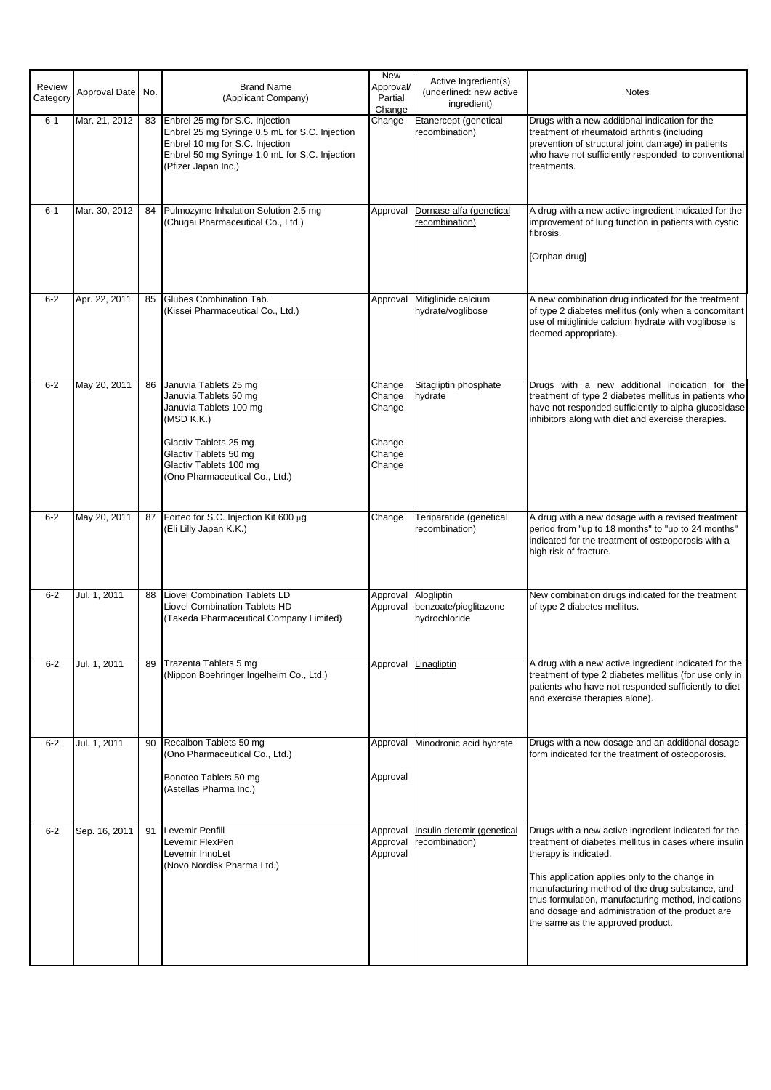| Review<br>Category | Approval Date | No. | <b>Brand Name</b><br>(Applicant Company)                                                                                                                                                             | <b>New</b><br>Approval/<br>Partial<br>Change             | Active Ingredient(s)<br>(underlined: new active<br>ingredient)         | <b>Notes</b>                                                                                                                                                                                                                                                                                                                                                                                |
|--------------------|---------------|-----|------------------------------------------------------------------------------------------------------------------------------------------------------------------------------------------------------|----------------------------------------------------------|------------------------------------------------------------------------|---------------------------------------------------------------------------------------------------------------------------------------------------------------------------------------------------------------------------------------------------------------------------------------------------------------------------------------------------------------------------------------------|
| $6 - 1$            | Mar. 21, 2012 | 83  | Enbrel 25 mg for S.C. Injection<br>Enbrel 25 mg Syringe 0.5 mL for S.C. Injection<br>Enbrel 10 mg for S.C. Injection<br>Enbrel 50 mg Syringe 1.0 mL for S.C. Injection<br>(Pfizer Japan Inc.)        | Change                                                   | Etanercept (genetical<br>recombination)                                | Drugs with a new additional indication for the<br>treatment of rheumatoid arthritis (including<br>prevention of structural joint damage) in patients<br>who have not sufficiently responded to conventional<br>treatments.                                                                                                                                                                  |
| $6 - 1$            | Mar. 30, 2012 | 84  | Pulmozyme Inhalation Solution 2.5 mg<br>(Chugai Pharmaceutical Co., Ltd.)                                                                                                                            | Approval                                                 | Dornase alfa (genetical<br>recombination)                              | A drug with a new active ingredient indicated for the<br>improvement of lung function in patients with cystic<br>fibrosis.<br>[Orphan drug]                                                                                                                                                                                                                                                 |
| $6 - 2$            | Apr. 22, 2011 | 85  | Glubes Combination Tab.<br>(Kissei Pharmaceutical Co., Ltd.)                                                                                                                                         |                                                          | Approval Mitiglinide calcium<br>hydrate/voglibose                      | A new combination drug indicated for the treatment<br>of type 2 diabetes mellitus (only when a concomitant<br>use of mitiglinide calcium hydrate with voglibose is<br>deemed appropriate).                                                                                                                                                                                                  |
| $6-2$              | May 20, 2011  | 86  | Januvia Tablets 25 mg<br>Januvia Tablets 50 mg<br>Januvia Tablets 100 mg<br>(MSD K.K.)<br>Glactiv Tablets 25 mg<br>Glactiv Tablets 50 mg<br>Glactiv Tablets 100 mg<br>(Ono Pharmaceutical Co., Ltd.) | Change<br>Change<br>Change<br>Change<br>Change<br>Change | Sitagliptin phosphate<br>hydrate                                       | Drugs with a new additional indication for the<br>treatment of type 2 diabetes mellitus in patients who<br>have not responded sufficiently to alpha-glucosidase<br>inhibitors along with diet and exercise therapies.                                                                                                                                                                       |
| $6 - 2$            | May 20, 2011  | 87  | Forteo for S.C. Injection Kit 600 µg<br>(Eli Lilly Japan K.K.)                                                                                                                                       | Change                                                   | Teriparatide (genetical<br>recombination)                              | A drug with a new dosage with a revised treatment<br>period from "up to 18 months" to "up to 24 months"<br>indicated for the treatment of osteoporosis with a<br>high risk of fracture.                                                                                                                                                                                                     |
| $6 - 2$            | Jul. 1, 2011  | 88  | Liovel Combination Tablets LD<br>Liovel Combination Tablets HD<br>(Takeda Pharmaceutical Company Limited)                                                                                            |                                                          | Approval Alogliptin<br>Approval benzoate/pioglitazone<br>hydrochloride | New combination drugs indicated for the treatment<br>of type 2 diabetes mellitus.                                                                                                                                                                                                                                                                                                           |
| $6-2$              | Jul. 1, 2011  | 89  | Trazenta Tablets 5 mg<br>(Nippon Boehringer Ingelheim Co., Ltd.)                                                                                                                                     | Approval                                                 | Linagliptin                                                            | A drug with a new active ingredient indicated for the<br>treatment of type 2 diabetes mellitus (for use only in<br>patients who have not responded sufficiently to diet<br>and exercise therapies alone).                                                                                                                                                                                   |
| $6-2$              | Jul. 1, 2011  | 90  | Recalbon Tablets 50 mg<br>(Ono Pharmaceutical Co., Ltd.)<br>Bonoteo Tablets 50 mg<br>(Astellas Pharma Inc.)                                                                                          | Approval                                                 | Approval Minodronic acid hydrate                                       | Drugs with a new dosage and an additional dosage<br>form indicated for the treatment of osteoporosis.                                                                                                                                                                                                                                                                                       |
| $6-2$              | Sep. 16, 2011 | 91  | Levemir Penfill<br>Levemir FlexPen<br>Levemir InnoLet<br>(Novo Nordisk Pharma Ltd.)                                                                                                                  | Approval<br>Approval<br>Approval                         | Insulin detemir (genetical<br>recombination)                           | Drugs with a new active ingredient indicated for the<br>treatment of diabetes mellitus in cases where insulin<br>therapy is indicated.<br>This application applies only to the change in<br>manufacturing method of the drug substance, and<br>thus formulation, manufacturing method, indications<br>and dosage and administration of the product are<br>the same as the approved product. |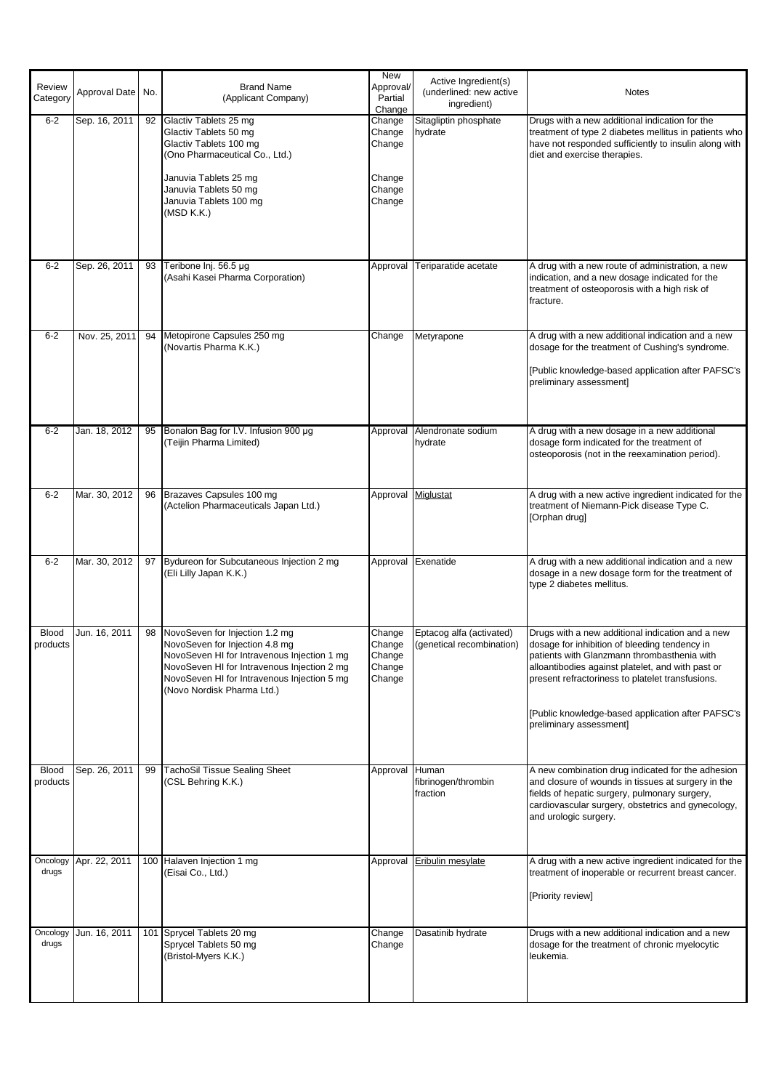| Review<br>Category       | Approval Date | No. | <b>Brand Name</b><br>(Applicant Company)                                                                                                                                                                                                    | <b>New</b><br>Approval/<br>Partial<br>Change             | Active Ingredient(s)<br>(underlined: new active<br>ingredient) | <b>Notes</b>                                                                                                                                                                                                                                                                                                                              |
|--------------------------|---------------|-----|---------------------------------------------------------------------------------------------------------------------------------------------------------------------------------------------------------------------------------------------|----------------------------------------------------------|----------------------------------------------------------------|-------------------------------------------------------------------------------------------------------------------------------------------------------------------------------------------------------------------------------------------------------------------------------------------------------------------------------------------|
| $6 - 2$                  | Sep. 16, 2011 |     | 92 Glactiv Tablets 25 mg<br>Glactiv Tablets 50 mg<br>Glactiv Tablets 100 mg<br>(Ono Pharmaceutical Co., Ltd.)<br>Januvia Tablets 25 mg<br>Januvia Tablets 50 mg<br>Januvia Tablets 100 mg<br>(MSD K.K.)                                     | Change<br>Change<br>Change<br>Change<br>Change<br>Change | Sitagliptin phosphate<br>hydrate                               | Drugs with a new additional indication for the<br>treatment of type 2 diabetes mellitus in patients who<br>have not responded sufficiently to insulin along with<br>diet and exercise therapies.                                                                                                                                          |
| $6 - 2$                  | Sep. 26, 2011 | 93  | Teribone Inj. 56.5 µg<br>(Asahi Kasei Pharma Corporation)                                                                                                                                                                                   | Approval                                                 | Teriparatide acetate                                           | A drug with a new route of administration, a new<br>indication, and a new dosage indicated for the<br>treatment of osteoporosis with a high risk of<br>fracture.                                                                                                                                                                          |
| $6 - 2$                  | Nov. 25, 2011 |     | 94 Metopirone Capsules 250 mg<br>(Novartis Pharma K.K.)                                                                                                                                                                                     | Change                                                   | Metyrapone                                                     | A drug with a new additional indication and a new<br>dosage for the treatment of Cushing's syndrome.<br>[Public knowledge-based application after PAFSC's<br>preliminary assessment]                                                                                                                                                      |
| $6 - 2$                  | Jan. 18, 2012 | 95  | Bonalon Bag for I.V. Infusion 900 µg<br>(Teijin Pharma Limited)                                                                                                                                                                             |                                                          | Approval Alendronate sodium<br>hydrate                         | A drug with a new dosage in a new additional<br>dosage form indicated for the treatment of<br>osteoporosis (not in the reexamination period).                                                                                                                                                                                             |
| $6 - 2$                  | Mar. 30, 2012 | 96  | Brazaves Capsules 100 mg<br>(Actelion Pharmaceuticals Japan Ltd.)                                                                                                                                                                           |                                                          | Approval Miglustat                                             | A drug with a new active ingredient indicated for the<br>treatment of Niemann-Pick disease Type C.<br>[Orphan drug]                                                                                                                                                                                                                       |
| $6 - 2$                  | Mar. 30, 2012 | 97  | Bydureon for Subcutaneous Injection 2 mg<br>(Eli Lilly Japan K.K.)                                                                                                                                                                          |                                                          | Approval Exenatide                                             | A drug with a new additional indication and a new<br>dosage in a new dosage form for the treatment of<br>type 2 diabetes mellitus.                                                                                                                                                                                                        |
| <b>Blood</b><br>products | Jun. 16, 2011 | 98  | NovoSeven for Injection 1.2 mg<br>NovoSeven for Injection 4.8 mg<br>NovoSeven HI for Intravenous Injection 1 mg<br>NovoSeven HI for Intravenous Injection 2 mg<br>NovoSeven HI for Intravenous Injection 5 mg<br>(Novo Nordisk Pharma Ltd.) | Change<br>Change<br>Change<br>Change<br>Change           | Eptacog alfa (activated)<br>(genetical recombination)          | Drugs with a new additional indication and a new<br>dosage for inhibition of bleeding tendency in<br>patients with Glanzmann thrombasthenia with<br>alloantibodies against platelet, and with past or<br>present refractoriness to platelet transfusions.<br>[Public knowledge-based application after PAFSC's<br>preliminary assessment] |
| <b>Blood</b><br>products | Sep. 26, 2011 | 99  | <b>TachoSil Tissue Sealing Sheet</b><br>(CSL Behring K.K.)                                                                                                                                                                                  | Approval                                                 | Human<br>fibrinogen/thrombin<br>fraction                       | A new combination drug indicated for the adhesion<br>and closure of wounds in tissues at surgery in the<br>fields of hepatic surgery, pulmonary surgery,<br>cardiovascular surgery, obstetrics and gynecology,<br>and urologic surgery.                                                                                                   |
| Oncology<br>drugs        | Apr. 22, 2011 |     | 100 Halaven Injection 1 mg<br>(Eisai Co., Ltd.)                                                                                                                                                                                             | Approval                                                 | Eribulin mesylate                                              | A drug with a new active ingredient indicated for the<br>treatment of inoperable or recurrent breast cancer.<br>[Priority review]                                                                                                                                                                                                         |
| Oncology<br>drugs        | Jun. 16, 2011 |     | 101 Sprycel Tablets 20 mg<br>Sprycel Tablets 50 mg<br>(Bristol-Myers K.K.)                                                                                                                                                                  | Change<br>Change                                         | Dasatinib hydrate                                              | Drugs with a new additional indication and a new<br>dosage for the treatment of chronic myelocytic<br>leukemia.                                                                                                                                                                                                                           |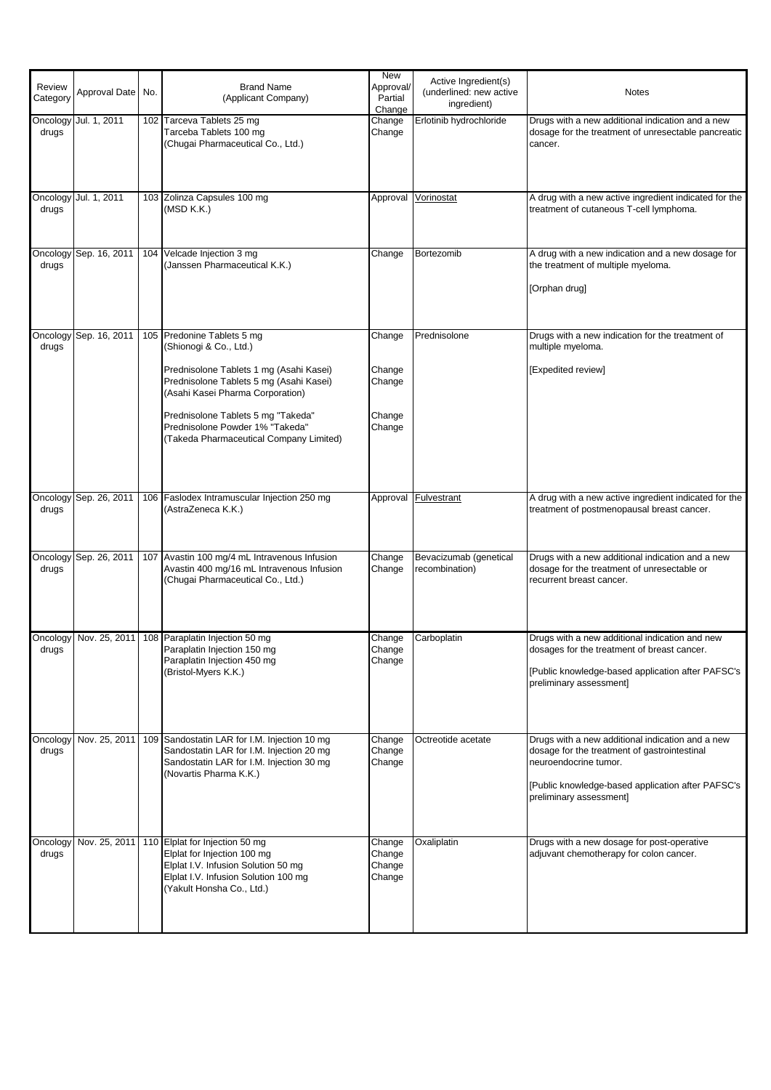| Review<br>Category | Approval Date | No. | <b>Brand Name</b><br>(Applicant Company)                                                                                                                                                                                                                                                           | <b>New</b><br>Approval/<br>Partial<br>Change   | Active Ingredient(s)<br>(underlined: new active<br>ingredient) | <b>Notes</b>                                                                                                                                                                                              |
|--------------------|---------------|-----|----------------------------------------------------------------------------------------------------------------------------------------------------------------------------------------------------------------------------------------------------------------------------------------------------|------------------------------------------------|----------------------------------------------------------------|-----------------------------------------------------------------------------------------------------------------------------------------------------------------------------------------------------------|
| Oncology<br>drugs  | Jul. 1, 2011  |     | 102 Tarceva Tablets 25 mg<br>Tarceba Tablets 100 mg<br>(Chugai Pharmaceutical Co., Ltd.)                                                                                                                                                                                                           | Change<br>Change                               | Erlotinib hydrochloride                                        | Drugs with a new additional indication and a new<br>dosage for the treatment of unresectable pancreatic<br>cancer.                                                                                        |
| Oncology<br>drugs  | Jul. 1, 2011  |     | 103 Zolinza Capsules 100 mg<br>(MSD K.K.)                                                                                                                                                                                                                                                          | Approval                                       | Vorinostat                                                     | A drug with a new active ingredient indicated for the<br>treatment of cutaneous T-cell lymphoma.                                                                                                          |
| Oncology<br>drugs  | Sep. 16, 2011 |     | 104 Velcade Injection 3 mg<br>(Janssen Pharmaceutical K.K.)                                                                                                                                                                                                                                        | Change                                         | Bortezomib                                                     | A drug with a new indication and a new dosage for<br>the treatment of multiple myeloma.<br>[Orphan drug]                                                                                                  |
| Oncology<br>drugs  | Sep. 16, 2011 |     | 105 Predonine Tablets 5 mg<br>(Shionogi & Co., Ltd.)<br>Prednisolone Tablets 1 mg (Asahi Kasei)<br>Prednisolone Tablets 5 mg (Asahi Kasei)<br>(Asahi Kasei Pharma Corporation)<br>Prednisolone Tablets 5 mg "Takeda"<br>Prednisolone Powder 1% "Takeda"<br>(Takeda Pharmaceutical Company Limited) | Change<br>Change<br>Change<br>Change<br>Change | Prednisolone                                                   | Drugs with a new indication for the treatment of<br>multiple myeloma.<br>[Expedited review]                                                                                                               |
| Oncology<br>drugs  | Sep. 26, 2011 |     | 106 Faslodex Intramuscular Injection 250 mg<br>(AstraZeneca K.K.)                                                                                                                                                                                                                                  | Approval                                       | <b>Fulvestrant</b>                                             | A drug with a new active ingredient indicated for the<br>treatment of postmenopausal breast cancer.                                                                                                       |
| Oncology<br>drugs  | Sep. 26, 2011 |     | 107 Avastin 100 mg/4 mL Intravenous Infusion<br>Avastin 400 mg/16 mL Intravenous Infusion<br>(Chugai Pharmaceutical Co., Ltd.)                                                                                                                                                                     | Change<br>Change                               | Bevacizumab (genetical<br>recombination)                       | Drugs with a new additional indication and a new<br>dosage for the treatment of unresectable or<br>recurrent breast cancer.                                                                               |
| drugs              |               |     | Oncology   Nov. 25, 2011   108   Paraplatin Injection 50 mg<br>Paraplatin Injection 150 mg<br>Paraplatin Injection 450 mg<br>(Bristol-Myers K.K.)                                                                                                                                                  | Change<br>Change<br>Change                     | Carboplatin                                                    | Drugs with a new additional indication and new<br>dosages for the treatment of breast cancer.<br>[Public knowledge-based application after PAFSC's<br>preliminary assessment]                             |
| Oncology<br>drugs  | Nov. 25, 2011 |     | 109 Sandostatin LAR for I.M. Injection 10 mg<br>Sandostatin LAR for I.M. Injection 20 mg<br>Sandostatin LAR for I.M. Injection 30 mg<br>(Novartis Pharma K.K.)                                                                                                                                     | Change<br>Change<br>Change                     | Octreotide acetate                                             | Drugs with a new additional indication and a new<br>dosage for the treatment of gastrointestinal<br>neuroendocrine tumor.<br>[Public knowledge-based application after PAFSC's<br>preliminary assessment] |
| Oncology<br>drugs  | Nov. 25, 2011 |     | 110 Elplat for Injection 50 mg<br>Elplat for Injection 100 mg<br>Elplat I.V. Infusion Solution 50 mg<br>Elplat I.V. Infusion Solution 100 mg<br>(Yakult Honsha Co., Ltd.)                                                                                                                          | Change<br>Change<br>Change<br>Change           | Oxaliplatin                                                    | Drugs with a new dosage for post-operative<br>adjuvant chemotherapy for colon cancer.                                                                                                                     |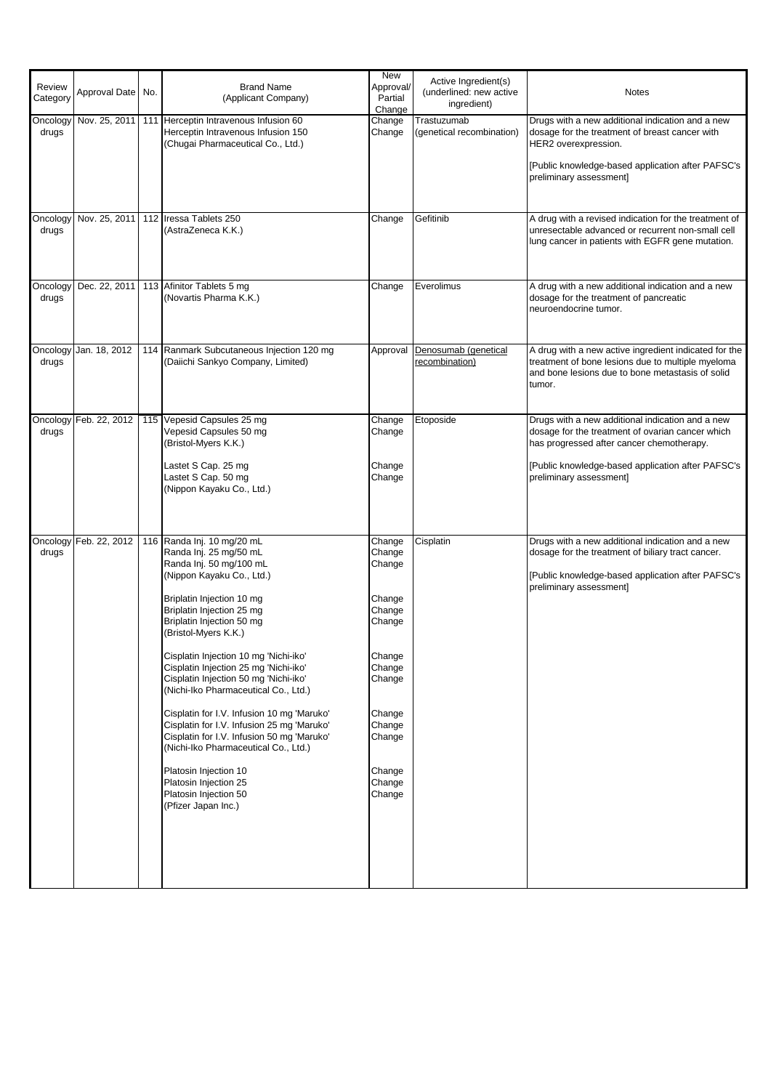| Review<br>Category | Approval Date No.      | <b>Brand Name</b><br>(Applicant Company)                                                                                                                                                                                                                                                                                                                                                                                                                                                                                                                                                                                                                                           | New<br>Approval/<br>Partial<br>Change                                                                                                              | Active Ingredient(s)<br>(underlined: new active<br>ingredient) | <b>Notes</b>                                                                                                                                                                                                                      |
|--------------------|------------------------|------------------------------------------------------------------------------------------------------------------------------------------------------------------------------------------------------------------------------------------------------------------------------------------------------------------------------------------------------------------------------------------------------------------------------------------------------------------------------------------------------------------------------------------------------------------------------------------------------------------------------------------------------------------------------------|----------------------------------------------------------------------------------------------------------------------------------------------------|----------------------------------------------------------------|-----------------------------------------------------------------------------------------------------------------------------------------------------------------------------------------------------------------------------------|
| Oncology<br>drugs  |                        | Nov. 25, 2011   111   Herceptin Intravenous Infusion 60<br>Herceptin Intravenous Infusion 150<br>(Chugai Pharmaceutical Co., Ltd.)                                                                                                                                                                                                                                                                                                                                                                                                                                                                                                                                                 | Change<br>Change                                                                                                                                   | Trastuzumab<br>(genetical recombination)                       | Drugs with a new additional indication and a new<br>dosage for the treatment of breast cancer with<br>HER2 overexpression.<br>[Public knowledge-based application after PAFSC's<br>preliminary assessment]                        |
| Oncology<br>drugs  | Nov. 25, 2011          | 112 Iressa Tablets 250<br>(AstraZeneca K.K.)                                                                                                                                                                                                                                                                                                                                                                                                                                                                                                                                                                                                                                       | Change                                                                                                                                             | Gefitinib                                                      | A drug with a revised indication for the treatment of<br>unresectable advanced or recurrent non-small cell<br>lung cancer in patients with EGFR gene mutation.                                                                    |
| Oncology<br>drugs  | Dec. 22, 2011          | 113 Afinitor Tablets 5 mg<br>(Novartis Pharma K.K.)                                                                                                                                                                                                                                                                                                                                                                                                                                                                                                                                                                                                                                | Change                                                                                                                                             | Everolimus                                                     | A drug with a new additional indication and a new<br>dosage for the treatment of pancreatic<br>neuroendocrine tumor.                                                                                                              |
| Oncology<br>drugs  | Jan. 18, 2012          | 114 Ranmark Subcutaneous Injection 120 mg<br>(Daiichi Sankyo Company, Limited)                                                                                                                                                                                                                                                                                                                                                                                                                                                                                                                                                                                                     | Approval                                                                                                                                           | Denosumab (genetical<br>recombination)                         | A drug with a new active ingredient indicated for the<br>treatment of bone lesions due to multiple myeloma<br>and bone lesions due to bone metastasis of solid<br>tumor.                                                          |
| Oncology<br>drugs  | Feb. 22, 2012          | 115 Vepesid Capsules 25 mg<br>Vepesid Capsules 50 mg<br>(Bristol-Myers K.K.)<br>Lastet S Cap. 25 mg<br>Lastet S Cap. 50 mg<br>(Nippon Kayaku Co., Ltd.)                                                                                                                                                                                                                                                                                                                                                                                                                                                                                                                            | Change<br>Change<br>Change<br>Change                                                                                                               | Etoposide                                                      | Drugs with a new additional indication and a new<br>dosage for the treatment of ovarian cancer which<br>has progressed after cancer chemotherapy.<br>[Public knowledge-based application after PAFSC's<br>preliminary assessment] |
| drugs              | Oncology Feb. 22, 2012 | 116 Randa Inj. 10 mg/20 mL<br>Randa Inj. 25 mg/50 mL<br>Randa Inj. 50 mg/100 mL<br>(Nippon Kayaku Co., Ltd.)<br>Briplatin Injection 10 mg<br>Briplatin Injection 25 mg<br>Briplatin Injection 50 mg<br>(Bristol-Myers K.K.)<br>Cisplatin Injection 10 mg 'Nichi-iko'<br>Cisplatin Injection 25 mg 'Nichi-iko'<br>Cisplatin Injection 50 mg 'Nichi-iko'<br>(Nichi-Iko Pharmaceutical Co., Ltd.)<br>Cisplatin for I.V. Infusion 10 mg 'Maruko'<br>Cisplatin for I.V. Infusion 25 mg 'Maruko'<br>Cisplatin for I.V. Infusion 50 mg 'Maruko'<br>(Nichi-Iko Pharmaceutical Co., Ltd.)<br>Platosin Injection 10<br>Platosin Injection 25<br>Platosin Injection 50<br>(Pfizer Japan Inc.) | Change<br>Change<br>Change<br>Change<br>Change<br>Change<br>Change<br>Change<br>Change<br>Change<br>Change<br>Change<br>Change<br>Change<br>Change | Cisplatin                                                      | Drugs with a new additional indication and a new<br>dosage for the treatment of biliary tract cancer.<br>[Public knowledge-based application after PAFSC's<br>preliminary assessment]                                             |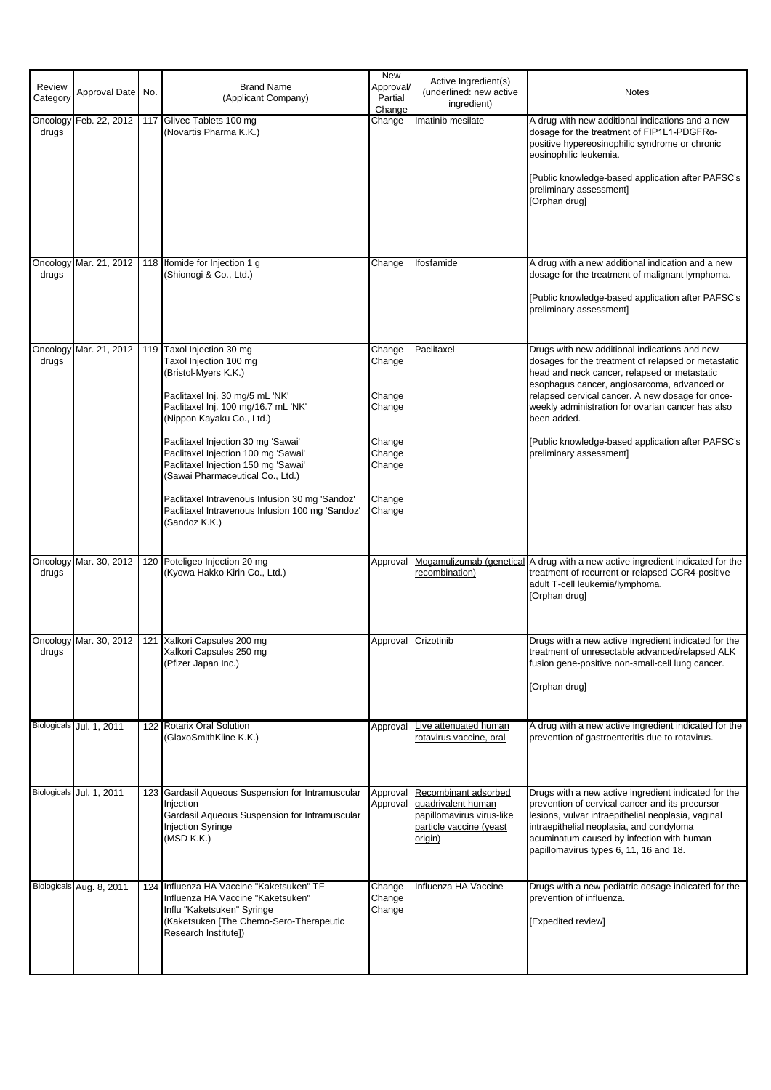| Review<br>Category | Approval Date No.        | <b>Brand Name</b><br>(Applicant Company)                                                                                                                                                                                                                                                                                                                                                                                                                         | New<br>Approval/<br>Partial<br>Change                                                  | Active Ingredient(s)<br>(underlined: new active<br>ingredient)                                                | <b>Notes</b>                                                                                                                                                                                                                                                                                                                                                                                                |
|--------------------|--------------------------|------------------------------------------------------------------------------------------------------------------------------------------------------------------------------------------------------------------------------------------------------------------------------------------------------------------------------------------------------------------------------------------------------------------------------------------------------------------|----------------------------------------------------------------------------------------|---------------------------------------------------------------------------------------------------------------|-------------------------------------------------------------------------------------------------------------------------------------------------------------------------------------------------------------------------------------------------------------------------------------------------------------------------------------------------------------------------------------------------------------|
| Oncology<br>drugs  |                          | Feb. 22, 2012   117 Glivec Tablets 100 mg<br>(Novartis Pharma K.K.)                                                                                                                                                                                                                                                                                                                                                                                              | Change                                                                                 | Imatinib mesilate                                                                                             | A drug with new additional indications and a new<br>dosage for the treatment of FIP1L1-PDGFRα-<br>positive hypereosinophilic syndrome or chronic<br>eosinophilic leukemia.<br>[Public knowledge-based application after PAFSC's<br>preliminary assessment]<br>[Orphan drug]                                                                                                                                 |
| Oncology<br>drugs  | Mar. 21, 2012            | 118 Ifomide for Injection 1 g<br>(Shionogi & Co., Ltd.)                                                                                                                                                                                                                                                                                                                                                                                                          | Change                                                                                 | Ifosfamide                                                                                                    | A drug with a new additional indication and a new<br>dosage for the treatment of malignant lymphoma.<br>[Public knowledge-based application after PAFSC's<br>preliminary assessment]                                                                                                                                                                                                                        |
| Oncology<br>drugs  | Mar. 21, 2012            | 119 Taxol Injection 30 mg<br>Taxol Injection 100 mg<br>(Bristol-Myers K.K.)<br>Paclitaxel Inj. 30 mg/5 mL 'NK'<br>Paclitaxel Inj. 100 mg/16.7 mL 'NK'<br>(Nippon Kayaku Co., Ltd.)<br>Paclitaxel Injection 30 mg 'Sawai'<br>Paclitaxel Injection 100 mg 'Sawai'<br>Paclitaxel Injection 150 mg 'Sawai'<br>(Sawai Pharmaceutical Co., Ltd.)<br>Paclitaxel Intravenous Infusion 30 mg 'Sandoz'<br>Paclitaxel Intravenous Infusion 100 mg 'Sandoz'<br>(Sandoz K.K.) | Change<br>Change<br>Change<br>Change<br>Change<br>Change<br>Change<br>Change<br>Change | Paclitaxel                                                                                                    | Drugs with new additional indications and new<br>dosages for the treatment of relapsed or metastatic<br>head and neck cancer, relapsed or metastatic<br>esophagus cancer, angiosarcoma, advanced or<br>relapsed cervical cancer. A new dosage for once-<br>weekly administration for ovarian cancer has also<br>been added.<br>[Public knowledge-based application after PAFSC's<br>preliminary assessment] |
| Oncology<br>drugs  | Mar. 30, 2012            | 120 Poteligeo Injection 20 mg<br>(Kyowa Hakko Kirin Co., Ltd.)                                                                                                                                                                                                                                                                                                                                                                                                   | Approval                                                                               | recombination)                                                                                                | Mogamulizumab (genetical A drug with a new active ingredient indicated for the<br>treatment of recurrent or relapsed CCR4-positive<br>adult T-cell leukemia/lymphoma.<br>[Orphan drug]                                                                                                                                                                                                                      |
| drugs              |                          | Oncology Mar. 30, 2012   121 Xalkori Capsules 200 mg<br>Xalkori Capsules 250 mg<br>(Pfizer Japan Inc.)                                                                                                                                                                                                                                                                                                                                                           |                                                                                        | Approval Crizotinib                                                                                           | Drugs with a new active ingredient indicated for the<br>treatment of unresectable advanced/relapsed ALK<br>fusion gene-positive non-small-cell lung cancer.<br>[Orphan drug]                                                                                                                                                                                                                                |
|                    | Biologicals Jul. 1, 2011 | 122 Rotarix Oral Solution<br>(GlaxoSmithKline K.K.)                                                                                                                                                                                                                                                                                                                                                                                                              | Approval                                                                               | Live attenuated human<br>rotavirus vaccine, oral                                                              | A drug with a new active ingredient indicated for the<br>prevention of gastroenteritis due to rotavirus.                                                                                                                                                                                                                                                                                                    |
| Biologicals        | Jul. 1, 2011             | 123 Gardasil Aqueous Suspension for Intramuscular<br>Iniection<br>Gardasil Aqueous Suspension for Intramuscular<br><b>Injection Syringe</b><br>(MSD K.K.)                                                                                                                                                                                                                                                                                                        | Approval<br>Approval                                                                   | Recombinant adsorbed<br>quadrivalent human<br>papillomavirus virus-like<br>particle vaccine (yeast<br>origin) | Drugs with a new active ingredient indicated for the<br>prevention of cervical cancer and its precursor<br>lesions, vulvar intraepithelial neoplasia, vaginal<br>intraepithelial neoplasia, and condyloma<br>acuminatum caused by infection with human<br>papillomavirus types 6, 11, 16 and 18.                                                                                                            |
|                    | Biologicals Aug. 8, 2011 | 124 Influenza HA Vaccine "Kaketsuken" TF<br>Influenza HA Vaccine "Kaketsuken"<br>Influ "Kaketsuken" Syringe<br>(Kaketsuken [The Chemo-Sero-Therapeutic<br>Research Institute])                                                                                                                                                                                                                                                                                   | Change<br>Change<br>Change                                                             | Influenza HA Vaccine                                                                                          | Drugs with a new pediatric dosage indicated for the<br>prevention of influenza.<br>[Expedited review]                                                                                                                                                                                                                                                                                                       |